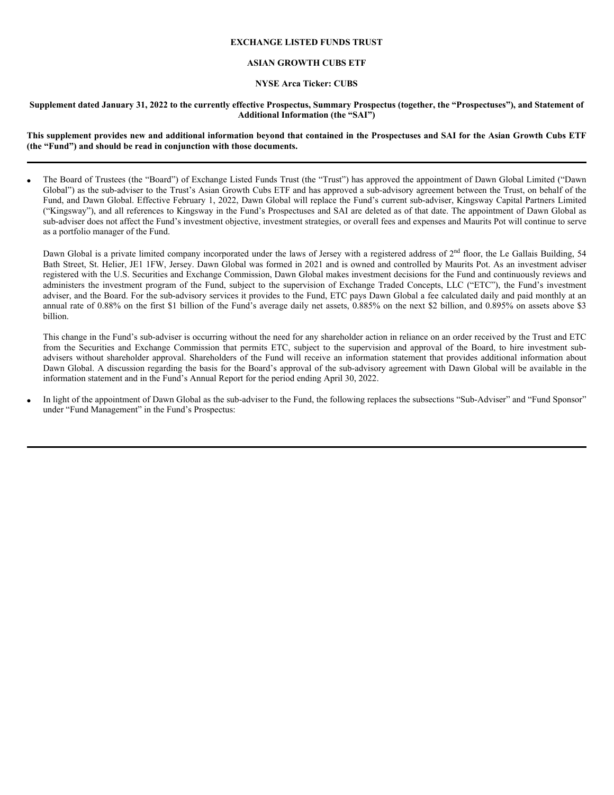#### **EXCHANGE LISTED FUNDS TRUST**

#### **ASIAN GROWTH CUBS ETF**

#### **NYSE Arca Ticker: CUBS**

#### **Supplement dated January 31, 2022 to the currently effective Prospectus, Summary Prospectus (together, the "Prospectuses"), and Statement of Additional Information (the "SAI")**

**This supplement provides new and additional information beyond that contained in the Prospectuses and SAI for the Asian Growth Cubs ETF (the "Fund") and should be read in conjunction with those documents.**

The Board of Trustees (the "Board") of Exchange Listed Funds Trust (the "Trust") has approved the appointment of Dawn Global Limited ("Dawn Global") as the sub-adviser to the Trust's Asian Growth Cubs ETF and has approved a sub-advisory agreement between the Trust, on behalf of the Fund, and Dawn Global. Effective February 1, 2022, Dawn Global will replace the Fund's current sub-adviser, Kingsway Capital Partners Limited ("Kingsway"), and all references to Kingsway in the Fund's Prospectuses and SAI are deleted as of that date. The appointment of Dawn Global as sub-adviser does not affect the Fund's investment objective, investment strategies, or overall fees and expenses and Maurits Pot will continue to serve as a portfolio manager of the Fund.

Dawn Global is a private limited company incorporated under the laws of Jersey with a registered address of 2<sup>nd</sup> floor, the Le Gallais Building, 54 Bath Street, St. Helier, JE1 1FW, Jersey. Dawn Global was formed in 2021 and is owned and controlled by Maurits Pot. As an investment adviser registered with the U.S. Securities and Exchange Commission, Dawn Global makes investment decisions for the Fund and continuously reviews and administers the investment program of the Fund, subject to the supervision of Exchange Traded Concepts, LLC ("ETC"), the Fund's investment adviser, and the Board. For the sub-advisory services it provides to the Fund, ETC pays Dawn Global a fee calculated daily and paid monthly at an annual rate of 0.88% on the first \$1 billion of the Fund's average daily net assets, 0.885% on the next \$2 billion, and 0.895% on assets above \$3 billion.

This change in the Fund's sub-adviser is occurring without the need for any shareholder action in reliance on an order received by the Trust and ETC from the Securities and Exchange Commission that permits ETC, subject to the supervision and approval of the Board, to hire investment subadvisers without shareholder approval. Shareholders of the Fund will receive an information statement that provides additional information about Dawn Global. A discussion regarding the basis for the Board's approval of the sub-advisory agreement with Dawn Global will be available in the information statement and in the Fund's Annual Report for the period ending April 30, 2022.

 In light of the appointment of Dawn Global as the sub-adviser to the Fund, the following replaces the subsections "Sub-Adviser" and "Fund Sponsor" under "Fund Management" in the Fund's Prospectus: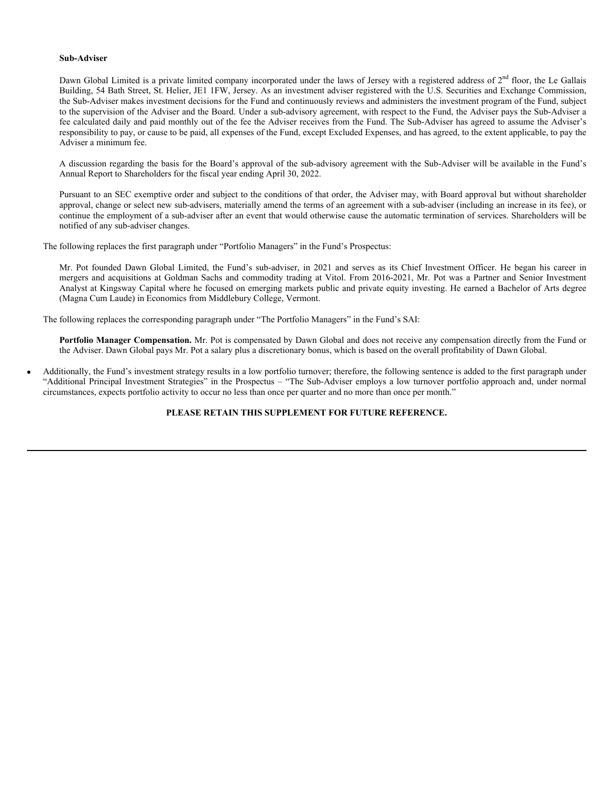#### **Sub-Adviser**

Dawn Global Limited is a private limited company incorporated under the laws of Jersey with a registered address of  $2<sup>nd</sup>$  floor, the Le Gallais Building, 54 Bath Street, St. Helier, JE1 1FW, Jersey. As an investment adviser registered with the U.S. Securities and Exchange Commission, the Sub-Adviser makes investment decisions for the Fund and continuously reviews and administers the investment program of the Fund, subject to the supervision of the Adviser and the Board. Under a sub-advisory agreement, with respect to the Fund, the Adviser pays the Sub-Adviser a fee calculated daily and paid monthly out of the fee the Adviser receives from the Fund. The Sub-Adviser has agreed to assume the Adviser's responsibility to pay, or cause to be paid, all expenses of the Fund, except Excluded Expenses, and has agreed, to the extent applicable, to pay the Adviser a minimum fee.

A discussion regarding the basis for the Board's approval of the sub-advisory agreement with the Sub-Adviser will be available in the Fund's Annual Report to Shareholders for the fiscal year ending April 30, 2022.

Pursuant to an SEC exemptive order and subject to the conditions of that order, the Adviser may, with Board approval but without shareholder approval, change or select new sub-advisers, materially amend the terms of an agreement with a sub-adviser (including an increase in its fee), or continue the employment of a sub-adviser after an event that would otherwise cause the automatic termination of services. Shareholders will be notified of any sub-adviser changes.

The following replaces the first paragraph under "Portfolio Managers" in the Fund's Prospectus:

Mr. Pot founded Dawn Global Limited, the Fund's sub-adviser, in 2021 and serves as its Chief Investment Officer. He began his career in mergers and acquisitions at Goldman Sachs and commodity trading at Vitol. From 2016-2021, Mr. Pot was a Partner and Senior Investment Analyst at Kingsway Capital where he focused on emerging markets public and private equity investing. He earned a Bachelor of Arts degree (Magna Cum Laude) in Economics from Middlebury College, Vermont.

The following replaces the corresponding paragraph under "The Portfolio Managers" in the Fund's SAI:

**Portfolio Manager Compensation.** Mr. Pot is compensated by Dawn Global and does not receive any compensation directly from the Fund or the Adviser. Dawn Global pays Mr. Pot a salary plus a discretionary bonus, which is based on the overall profitability of Dawn Global.

 Additionally, the Fund's investment strategy results in a low portfolio turnover; therefore, the following sentence is added to the first paragraph under "Additional Principal Investment Strategies" in the Prospectus – "The Sub-Adviser employs a low turnover portfolio approach and, under normal circumstances, expects portfolio activity to occur no less than once per quarter and no more than once per month."

#### **PLEASE RETAIN THIS SUPPLEMENT FOR FUTURE REFERENCE.**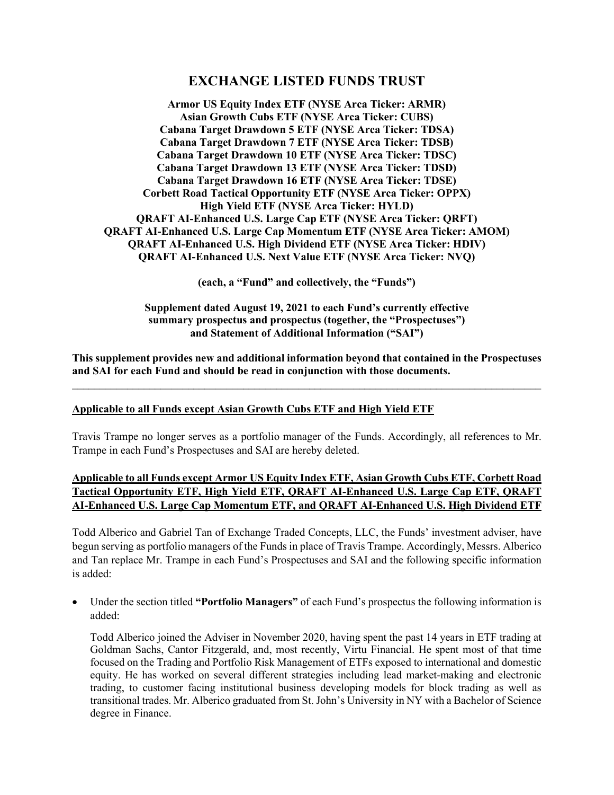# **EXCHANGE LISTED FUNDS TRUST**

**Armor US Equity Index ETF (NYSE Arca Ticker: ARMR) Asian Growth Cubs ETF (NYSE Arca Ticker: CUBS) Cabana Target Drawdown 5 ETF (NYSE Arca Ticker: TDSA) Cabana Target Drawdown 7 ETF (NYSE Arca Ticker: TDSB) Cabana Target Drawdown 10 ETF (NYSE Arca Ticker: TDSC) Cabana Target Drawdown 13 ETF (NYSE Arca Ticker: TDSD) Cabana Target Drawdown 16 ETF (NYSE Arca Ticker: TDSE) Corbett Road Tactical Opportunity ETF (NYSE Arca Ticker: OPPX) High Yield ETF (NYSE Arca Ticker: HYLD) QRAFT AI-Enhanced U.S. Large Cap ETF (NYSE Arca Ticker: QRFT) QRAFT AI-Enhanced U.S. Large Cap Momentum ETF (NYSE Arca Ticker: AMOM) QRAFT AI-Enhanced U.S. High Dividend ETF (NYSE Arca Ticker: HDIV) QRAFT AI-Enhanced U.S. Next Value ETF (NYSE Arca Ticker: NVQ)** 

**(each, a "Fund" and collectively, the "Funds")** 

**Supplement dated August 19, 2021 to each Fund's currently effective summary prospectus and prospectus (together, the "Prospectuses") and Statement of Additional Information ("SAI")** 

**This supplement provides new and additional information beyond that contained in the Prospectuses and SAI for each Fund and should be read in conjunction with those documents.**   $\mathcal{L}_\text{max} = \mathcal{L}_\text{max} = \mathcal{L}_\text{max} = \mathcal{L}_\text{max} = \mathcal{L}_\text{max} = \mathcal{L}_\text{max} = \mathcal{L}_\text{max} = \mathcal{L}_\text{max} = \mathcal{L}_\text{max} = \mathcal{L}_\text{max} = \mathcal{L}_\text{max} = \mathcal{L}_\text{max} = \mathcal{L}_\text{max} = \mathcal{L}_\text{max} = \mathcal{L}_\text{max} = \mathcal{L}_\text{max} = \mathcal{L}_\text{max} = \mathcal{L}_\text{max} = \mathcal{$ 

#### **Applicable to all Funds except Asian Growth Cubs ETF and High Yield ETF**

Travis Trampe no longer serves as a portfolio manager of the Funds. Accordingly, all references to Mr. Trampe in each Fund's Prospectuses and SAI are hereby deleted.

### **Applicable to all Funds except Armor US Equity Index ETF, Asian Growth Cubs ETF, Corbett Road Tactical Opportunity ETF, High Yield ETF, QRAFT AI-Enhanced U.S. Large Cap ETF, QRAFT AI-Enhanced U.S. Large Cap Momentum ETF, and QRAFT AI-Enhanced U.S. High Dividend ETF**

Todd Alberico and Gabriel Tan of Exchange Traded Concepts, LLC, the Funds' investment adviser, have begun serving as portfolio managers of the Funds in place of Travis Trampe. Accordingly, Messrs. Alberico and Tan replace Mr. Trampe in each Fund's Prospectuses and SAI and the following specific information is added:

 Under the section titled **"Portfolio Managers"** of each Fund's prospectus the following information is added:

Todd Alberico joined the Adviser in November 2020, having spent the past 14 years in ETF trading at Goldman Sachs, Cantor Fitzgerald, and, most recently, Virtu Financial. He spent most of that time focused on the Trading and Portfolio Risk Management of ETFs exposed to international and domestic equity. He has worked on several different strategies including lead market-making and electronic trading, to customer facing institutional business developing models for block trading as well as transitional trades. Mr. Alberico graduated from St. John's University in NY with a Bachelor of Science degree in Finance.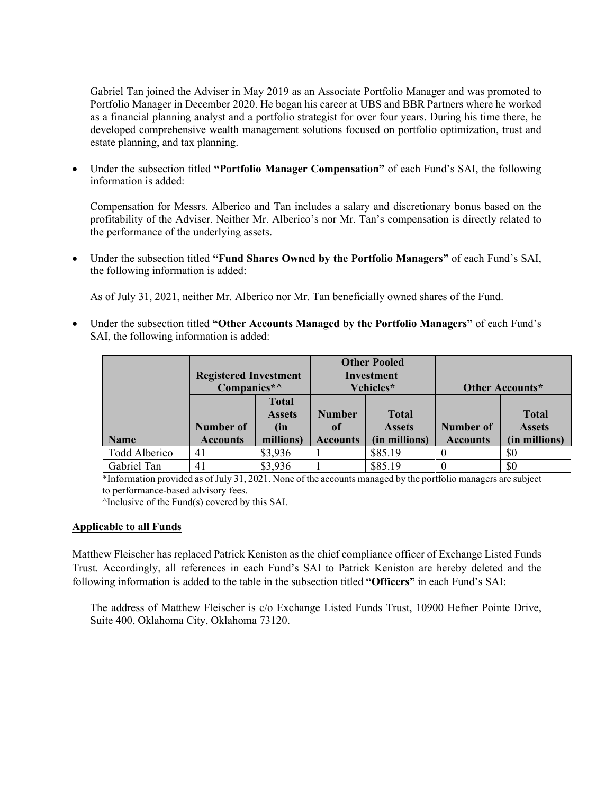Gabriel Tan joined the Adviser in May 2019 as an Associate Portfolio Manager and was promoted to Portfolio Manager in December 2020. He began his career at UBS and BBR Partners where he worked as a financial planning analyst and a portfolio strategist for over four years. During his time there, he developed comprehensive wealth management solutions focused on portfolio optimization, trust and estate planning, and tax planning.

 Under the subsection titled **"Portfolio Manager Compensation"** of each Fund's SAI, the following information is added:

Compensation for Messrs. Alberico and Tan includes a salary and discretionary bonus based on the profitability of the Adviser. Neither Mr. Alberico's nor Mr. Tan's compensation is directly related to the performance of the underlying assets.

 Under the subsection titled **"Fund Shares Owned by the Portfolio Managers"** of each Fund's SAI, the following information is added:

As of July 31, 2021, neither Mr. Alberico nor Mr. Tan beneficially owned shares of the Fund.

 Under the subsection titled **"Other Accounts Managed by the Portfolio Managers"** of each Fund's SAI, the following information is added:

|               | <b>Registered Investment</b><br>Companies*^ |                                                   | <b>Other Pooled</b><br><b>Investment</b><br>Vehicles* |                                                | Other Accounts*                     |                                                |
|---------------|---------------------------------------------|---------------------------------------------------|-------------------------------------------------------|------------------------------------------------|-------------------------------------|------------------------------------------------|
| <b>Name</b>   | <b>Number of</b><br><b>Accounts</b>         | <b>Total</b><br><b>Assets</b><br>(in<br>millions) | <b>Number</b><br><sup>of</sup><br><b>Accounts</b>     | <b>Total</b><br><b>Assets</b><br>(in millions) | <b>Number of</b><br><b>Accounts</b> | <b>Total</b><br><b>Assets</b><br>(in millions) |
| Todd Alberico | 41                                          | \$3,936                                           |                                                       | \$85.19                                        | $\theta$                            | \$0                                            |
| Gabriel Tan   | 41                                          | \$3,936                                           |                                                       | \$85.19                                        | $\theta$                            | \$0                                            |

\*Information provided as of July 31, 2021. None of the accounts managed by the portfolio managers are subject to performance-based advisory fees.

^Inclusive of the Fund(s) covered by this SAI.

#### **Applicable to all Funds**

Matthew Fleischer has replaced Patrick Keniston as the chief compliance officer of Exchange Listed Funds Trust. Accordingly, all references in each Fund's SAI to Patrick Keniston are hereby deleted and the following information is added to the table in the subsection titled **"Officers"** in each Fund's SAI:

The address of Matthew Fleischer is c/o Exchange Listed Funds Trust, 10900 Hefner Pointe Drive, Suite 400, Oklahoma City, Oklahoma 73120.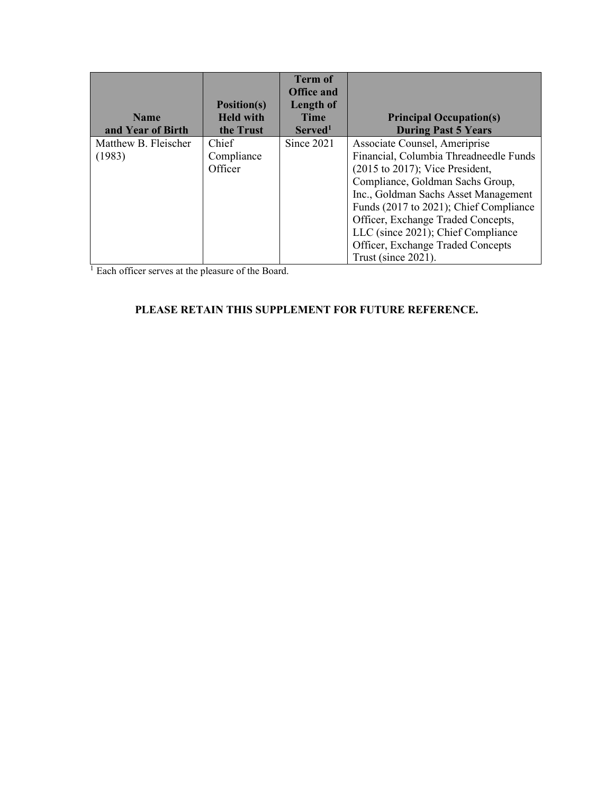|                      |                                        | <b>Term of</b><br><b>Office and</b> |                                        |
|----------------------|----------------------------------------|-------------------------------------|----------------------------------------|
| <b>Name</b>          | <b>Position(s)</b><br><b>Held with</b> | Length of<br><b>Time</b>            | <b>Principal Occupation(s)</b>         |
| and Year of Birth    | the Trust                              | Served <sup>1</sup>                 | <b>During Past 5 Years</b>             |
| Matthew B. Fleischer | Chief                                  | Since 2021                          | Associate Counsel, Ameriprise          |
| (1983)               | Compliance                             |                                     | Financial, Columbia Threadneedle Funds |
|                      | Officer                                |                                     | $(2015$ to $2017)$ ; Vice President,   |
|                      |                                        |                                     | Compliance, Goldman Sachs Group,       |
|                      |                                        |                                     | Inc., Goldman Sachs Asset Management   |
|                      |                                        |                                     | Funds (2017 to 2021); Chief Compliance |
|                      |                                        |                                     | Officer, Exchange Traded Concepts,     |
|                      |                                        |                                     | LLC (since 2021); Chief Compliance     |
|                      |                                        |                                     | Officer, Exchange Traded Concepts      |
|                      |                                        |                                     | Trust (since 2021).                    |

 $\frac{1}{1}$  Each officer serves at the pleasure of the Board.

# **PLEASE RETAIN THIS SUPPLEMENT FOR FUTURE REFERENCE.**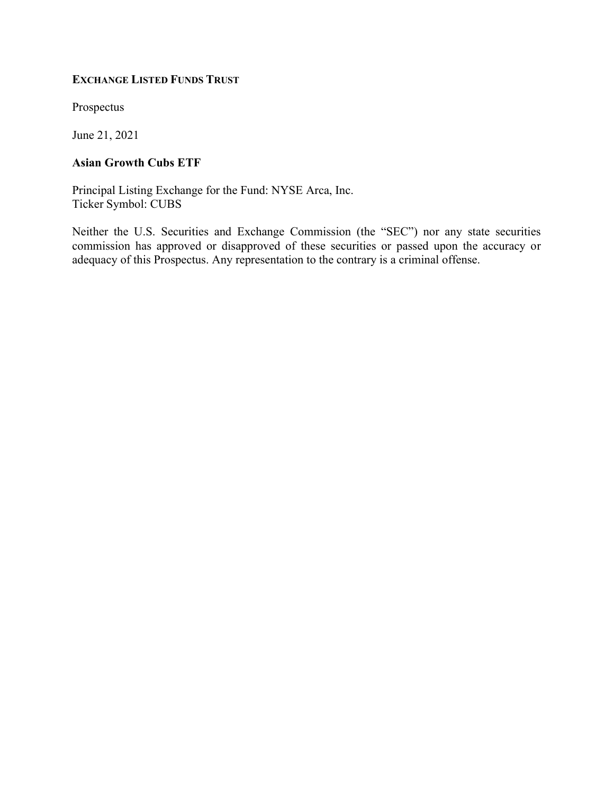### EXCHANGE LISTED FUNDS TRUST

Prospectus

June 21, 2021

## Asian Growth Cubs ETF

Principal Listing Exchange for the Fund: NYSE Arca, Inc. Ticker Symbol: CUBS

Neither the U.S. Securities and Exchange Commission (the "SEC") nor any state securities commission has approved or disapproved of these securities or passed upon the accuracy or adequacy of this Prospectus. Any representation to the contrary is a criminal offense.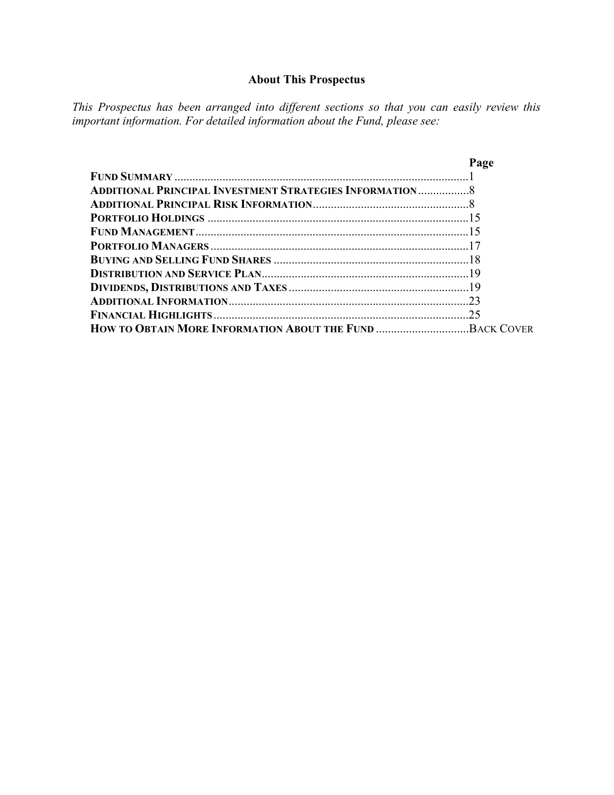# About This Prospectus

This Prospectus has been arranged into different sections so that you can easily review this important information. For detailed information about the Fund, please see:

|                                                                | Page |
|----------------------------------------------------------------|------|
|                                                                |      |
| <b>ADDITIONAL PRINCIPAL INVESTMENT STRATEGIES INFORMATION8</b> |      |
|                                                                |      |
|                                                                |      |
|                                                                |      |
|                                                                |      |
|                                                                |      |
|                                                                |      |
|                                                                |      |
|                                                                |      |
|                                                                |      |
|                                                                |      |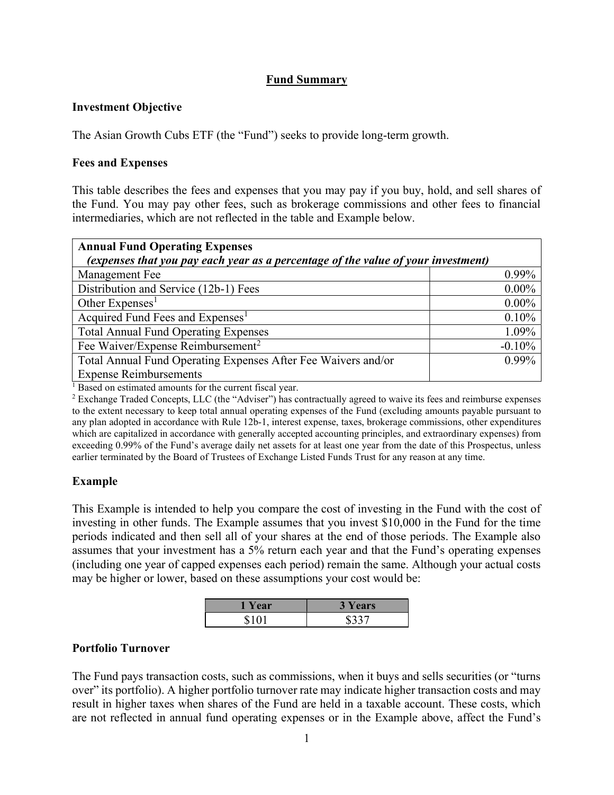## Fund Summary

### Investment Objective

The Asian Growth Cubs ETF (the "Fund") seeks to provide long-term growth.

#### Fees and Expenses

This table describes the fees and expenses that you may pay if you buy, hold, and sell shares of the Fund. You may pay other fees, such as brokerage commissions and other fees to financial intermediaries, which are not reflected in the table and Example below.

| <b>Annual Fund Operating Expenses</b>                                             |          |  |  |
|-----------------------------------------------------------------------------------|----------|--|--|
| (expenses that you pay each year as a percentage of the value of your investment) |          |  |  |
| Management Fee                                                                    | $0.99\%$ |  |  |
| Distribution and Service (12b-1) Fees                                             | $0.00\%$ |  |  |
| Other Expenses <sup>1</sup>                                                       | $0.00\%$ |  |  |
| Acquired Fund Fees and Expenses <sup>1</sup>                                      | 0.10%    |  |  |
| <b>Total Annual Fund Operating Expenses</b>                                       | 1.09%    |  |  |
| Fee Waiver/Expense Reimbursement <sup>2</sup>                                     | $-0.10%$ |  |  |
| Total Annual Fund Operating Expenses After Fee Waivers and/or                     | $0.99\%$ |  |  |
| <b>Expense Reimbursements</b>                                                     |          |  |  |

<sup>1</sup> Based on estimated amounts for the current fiscal year.

<sup>2</sup> Exchange Traded Concepts, LLC (the "Adviser") has contractually agreed to waive its fees and reimburse expenses to the extent necessary to keep total annual operating expenses of the Fund (excluding amounts payable pursuant to any plan adopted in accordance with Rule 12b-1, interest expense, taxes, brokerage commissions, other expenditures which are capitalized in accordance with generally accepted accounting principles, and extraordinary expenses) from exceeding 0.99% of the Fund's average daily net assets for at least one year from the date of this Prospectus, unless earlier terminated by the Board of Trustees of Exchange Listed Funds Trust for any reason at any time.

## Example

This Example is intended to help you compare the cost of investing in the Fund with the cost of investing in other funds. The Example assumes that you invest \$10,000 in the Fund for the time periods indicated and then sell all of your shares at the end of those periods. The Example also assumes that your investment has a 5% return each year and that the Fund's operating expenses (including one year of capped expenses each period) remain the same. Although your actual costs may be higher or lower, based on these assumptions your cost would be:

| Year  | <b>3 Years</b> |
|-------|----------------|
| \$101 | \$337          |

## Portfolio Turnover

The Fund pays transaction costs, such as commissions, when it buys and sells securities (or "turns over" its portfolio). A higher portfolio turnover rate may indicate higher transaction costs and may result in higher taxes when shares of the Fund are held in a taxable account. These costs, which are not reflected in annual fund operating expenses or in the Example above, affect the Fund's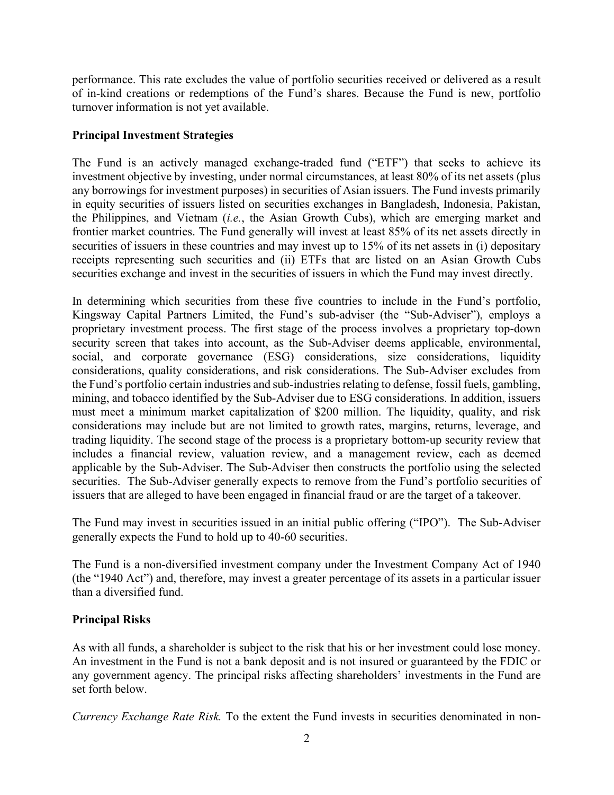performance. This rate excludes the value of portfolio securities received or delivered as a result of in-kind creations or redemptions of the Fund's shares. Because the Fund is new, portfolio turnover information is not yet available.

## Principal Investment Strategies

The Fund is an actively managed exchange-traded fund ("ETF") that seeks to achieve its investment objective by investing, under normal circumstances, at least 80% of its net assets (plus any borrowings for investment purposes) in securities of Asian issuers. The Fund invests primarily in equity securities of issuers listed on securities exchanges in Bangladesh, Indonesia, Pakistan, the Philippines, and Vietnam (i.e., the Asian Growth Cubs), which are emerging market and frontier market countries. The Fund generally will invest at least 85% of its net assets directly in securities of issuers in these countries and may invest up to 15% of its net assets in (i) depositary receipts representing such securities and (ii) ETFs that are listed on an Asian Growth Cubs securities exchange and invest in the securities of issuers in which the Fund may invest directly.

In determining which securities from these five countries to include in the Fund's portfolio, Kingsway Capital Partners Limited, the Fund's sub-adviser (the "Sub-Adviser"), employs a proprietary investment process. The first stage of the process involves a proprietary top-down security screen that takes into account, as the Sub-Adviser deems applicable, environmental, social, and corporate governance (ESG) considerations, size considerations, liquidity considerations, quality considerations, and risk considerations. The Sub-Adviser excludes from the Fund's portfolio certain industries and sub-industries relating to defense, fossil fuels, gambling, mining, and tobacco identified by the Sub-Adviser due to ESG considerations. In addition, issuers must meet a minimum market capitalization of \$200 million. The liquidity, quality, and risk considerations may include but are not limited to growth rates, margins, returns, leverage, and trading liquidity. The second stage of the process is a proprietary bottom-up security review that includes a financial review, valuation review, and a management review, each as deemed applicable by the Sub-Adviser. The Sub-Adviser then constructs the portfolio using the selected securities. The Sub-Adviser generally expects to remove from the Fund's portfolio securities of issuers that are alleged to have been engaged in financial fraud or are the target of a takeover.

The Fund may invest in securities issued in an initial public offering ("IPO"). The Sub-Adviser generally expects the Fund to hold up to 40-60 securities.

The Fund is a non-diversified investment company under the Investment Company Act of 1940 (the "1940 Act") and, therefore, may invest a greater percentage of its assets in a particular issuer than a diversified fund.

## Principal Risks

As with all funds, a shareholder is subject to the risk that his or her investment could lose money. An investment in the Fund is not a bank deposit and is not insured or guaranteed by the FDIC or any government agency. The principal risks affecting shareholders' investments in the Fund are set forth below.

Currency Exchange Rate Risk. To the extent the Fund invests in securities denominated in non-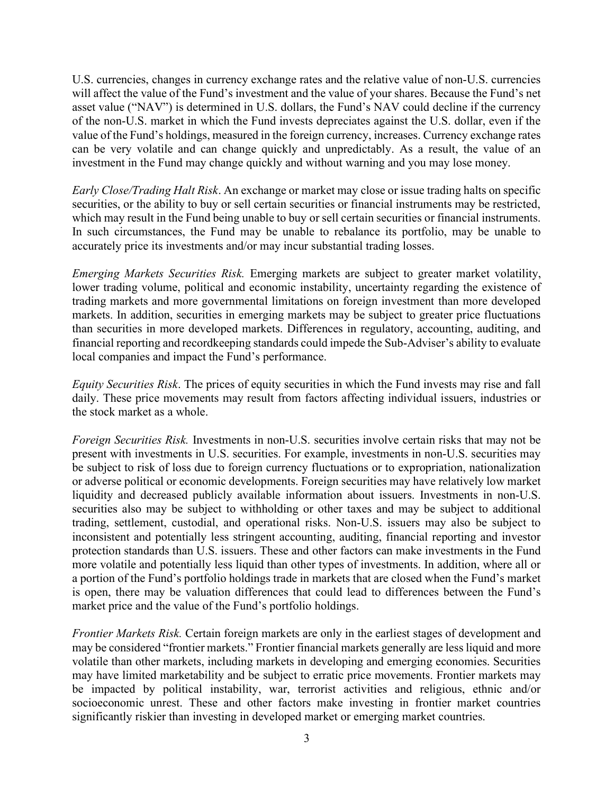U.S. currencies, changes in currency exchange rates and the relative value of non-U.S. currencies will affect the value of the Fund's investment and the value of your shares. Because the Fund's net asset value ("NAV") is determined in U.S. dollars, the Fund's NAV could decline if the currency of the non-U.S. market in which the Fund invests depreciates against the U.S. dollar, even if the value of the Fund's holdings, measured in the foreign currency, increases. Currency exchange rates can be very volatile and can change quickly and unpredictably. As a result, the value of an investment in the Fund may change quickly and without warning and you may lose money.

Early Close/Trading Halt Risk. An exchange or market may close or issue trading halts on specific securities, or the ability to buy or sell certain securities or financial instruments may be restricted, which may result in the Fund being unable to buy or sell certain securities or financial instruments. In such circumstances, the Fund may be unable to rebalance its portfolio, may be unable to accurately price its investments and/or may incur substantial trading losses.

Emerging Markets Securities Risk. Emerging markets are subject to greater market volatility, lower trading volume, political and economic instability, uncertainty regarding the existence of trading markets and more governmental limitations on foreign investment than more developed markets. In addition, securities in emerging markets may be subject to greater price fluctuations than securities in more developed markets. Differences in regulatory, accounting, auditing, and financial reporting and recordkeeping standards could impede the Sub-Adviser's ability to evaluate local companies and impact the Fund's performance.

Equity Securities Risk. The prices of equity securities in which the Fund invests may rise and fall daily. These price movements may result from factors affecting individual issuers, industries or the stock market as a whole.

Foreign Securities Risk. Investments in non-U.S. securities involve certain risks that may not be present with investments in U.S. securities. For example, investments in non-U.S. securities may be subject to risk of loss due to foreign currency fluctuations or to expropriation, nationalization or adverse political or economic developments. Foreign securities may have relatively low market liquidity and decreased publicly available information about issuers. Investments in non-U.S. securities also may be subject to withholding or other taxes and may be subject to additional trading, settlement, custodial, and operational risks. Non-U.S. issuers may also be subject to inconsistent and potentially less stringent accounting, auditing, financial reporting and investor protection standards than U.S. issuers. These and other factors can make investments in the Fund more volatile and potentially less liquid than other types of investments. In addition, where all or a portion of the Fund's portfolio holdings trade in markets that are closed when the Fund's market is open, there may be valuation differences that could lead to differences between the Fund's market price and the value of the Fund's portfolio holdings.

Frontier Markets Risk. Certain foreign markets are only in the earliest stages of development and may be considered "frontier markets." Frontier financial markets generally are less liquid and more volatile than other markets, including markets in developing and emerging economies. Securities may have limited marketability and be subject to erratic price movements. Frontier markets may be impacted by political instability, war, terrorist activities and religious, ethnic and/or socioeconomic unrest. These and other factors make investing in frontier market countries significantly riskier than investing in developed market or emerging market countries.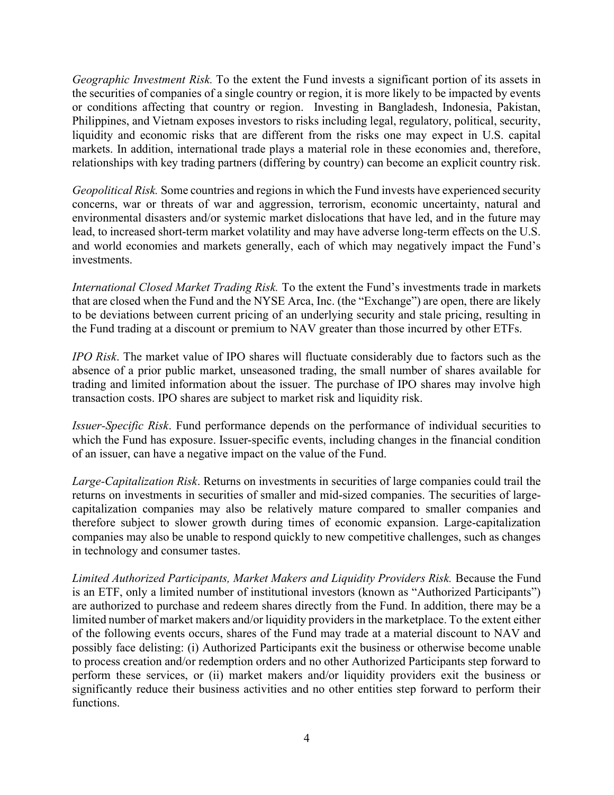Geographic Investment Risk. To the extent the Fund invests a significant portion of its assets in the securities of companies of a single country or region, it is more likely to be impacted by events or conditions affecting that country or region. Investing in Bangladesh, Indonesia, Pakistan, Philippines, and Vietnam exposes investors to risks including legal, regulatory, political, security, liquidity and economic risks that are different from the risks one may expect in U.S. capital markets. In addition, international trade plays a material role in these economies and, therefore, relationships with key trading partners (differing by country) can become an explicit country risk.

Geopolitical Risk. Some countries and regions in which the Fund invests have experienced security concerns, war or threats of war and aggression, terrorism, economic uncertainty, natural and environmental disasters and/or systemic market dislocations that have led, and in the future may lead, to increased short-term market volatility and may have adverse long-term effects on the U.S. and world economies and markets generally, each of which may negatively impact the Fund's investments.

International Closed Market Trading Risk. To the extent the Fund's investments trade in markets that are closed when the Fund and the NYSE Arca, Inc. (the "Exchange") are open, there are likely to be deviations between current pricing of an underlying security and stale pricing, resulting in the Fund trading at a discount or premium to NAV greater than those incurred by other ETFs.

IPO Risk. The market value of IPO shares will fluctuate considerably due to factors such as the absence of a prior public market, unseasoned trading, the small number of shares available for trading and limited information about the issuer. The purchase of IPO shares may involve high transaction costs. IPO shares are subject to market risk and liquidity risk.

Issuer-Specific Risk. Fund performance depends on the performance of individual securities to which the Fund has exposure. Issuer-specific events, including changes in the financial condition of an issuer, can have a negative impact on the value of the Fund.

Large-Capitalization Risk. Returns on investments in securities of large companies could trail the returns on investments in securities of smaller and mid-sized companies. The securities of largecapitalization companies may also be relatively mature compared to smaller companies and therefore subject to slower growth during times of economic expansion. Large-capitalization companies may also be unable to respond quickly to new competitive challenges, such as changes in technology and consumer tastes.

Limited Authorized Participants, Market Makers and Liquidity Providers Risk. Because the Fund is an ETF, only a limited number of institutional investors (known as "Authorized Participants") are authorized to purchase and redeem shares directly from the Fund. In addition, there may be a limited number of market makers and/or liquidity providers in the marketplace. To the extent either of the following events occurs, shares of the Fund may trade at a material discount to NAV and possibly face delisting: (i) Authorized Participants exit the business or otherwise become unable to process creation and/or redemption orders and no other Authorized Participants step forward to perform these services, or (ii) market makers and/or liquidity providers exit the business or significantly reduce their business activities and no other entities step forward to perform their functions.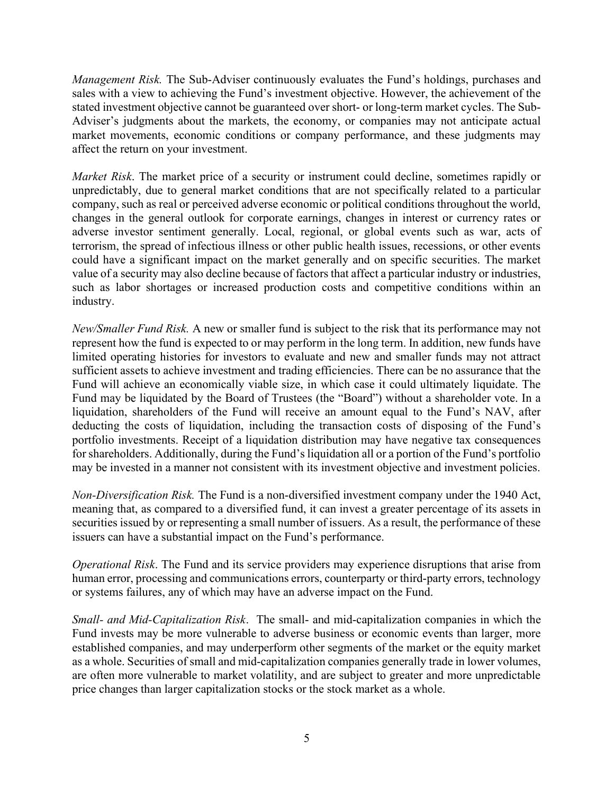Management Risk. The Sub-Adviser continuously evaluates the Fund's holdings, purchases and sales with a view to achieving the Fund's investment objective. However, the achievement of the stated investment objective cannot be guaranteed over short- or long-term market cycles. The Sub-Adviser's judgments about the markets, the economy, or companies may not anticipate actual market movements, economic conditions or company performance, and these judgments may affect the return on your investment.

Market Risk. The market price of a security or instrument could decline, sometimes rapidly or unpredictably, due to general market conditions that are not specifically related to a particular company, such as real or perceived adverse economic or political conditions throughout the world, changes in the general outlook for corporate earnings, changes in interest or currency rates or adverse investor sentiment generally. Local, regional, or global events such as war, acts of terrorism, the spread of infectious illness or other public health issues, recessions, or other events could have a significant impact on the market generally and on specific securities. The market value of a security may also decline because of factors that affect a particular industry or industries, such as labor shortages or increased production costs and competitive conditions within an industry.

New/Smaller Fund Risk. A new or smaller fund is subject to the risk that its performance may not represent how the fund is expected to or may perform in the long term. In addition, new funds have limited operating histories for investors to evaluate and new and smaller funds may not attract sufficient assets to achieve investment and trading efficiencies. There can be no assurance that the Fund will achieve an economically viable size, in which case it could ultimately liquidate. The Fund may be liquidated by the Board of Trustees (the "Board") without a shareholder vote. In a liquidation, shareholders of the Fund will receive an amount equal to the Fund's NAV, after deducting the costs of liquidation, including the transaction costs of disposing of the Fund's portfolio investments. Receipt of a liquidation distribution may have negative tax consequences for shareholders. Additionally, during the Fund's liquidation all or a portion of the Fund's portfolio may be invested in a manner not consistent with its investment objective and investment policies.

Non-Diversification Risk. The Fund is a non-diversified investment company under the 1940 Act, meaning that, as compared to a diversified fund, it can invest a greater percentage of its assets in securities issued by or representing a small number of issuers. As a result, the performance of these issuers can have a substantial impact on the Fund's performance.

Operational Risk. The Fund and its service providers may experience disruptions that arise from human error, processing and communications errors, counterparty or third-party errors, technology or systems failures, any of which may have an adverse impact on the Fund.

Small- and Mid-Capitalization Risk. The small- and mid-capitalization companies in which the Fund invests may be more vulnerable to adverse business or economic events than larger, more established companies, and may underperform other segments of the market or the equity market as a whole. Securities of small and mid-capitalization companies generally trade in lower volumes, are often more vulnerable to market volatility, and are subject to greater and more unpredictable price changes than larger capitalization stocks or the stock market as a whole.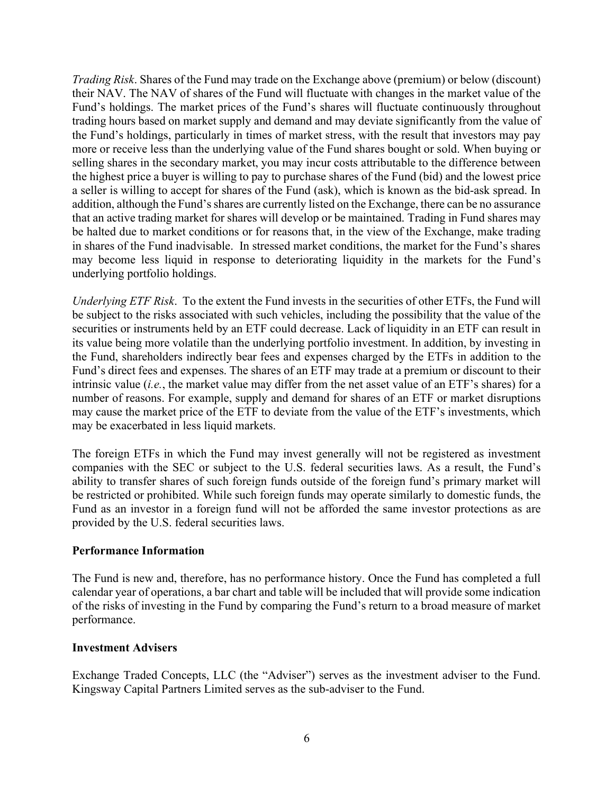Trading Risk. Shares of the Fund may trade on the Exchange above (premium) or below (discount) their NAV. The NAV of shares of the Fund will fluctuate with changes in the market value of the Fund's holdings. The market prices of the Fund's shares will fluctuate continuously throughout trading hours based on market supply and demand and may deviate significantly from the value of the Fund's holdings, particularly in times of market stress, with the result that investors may pay more or receive less than the underlying value of the Fund shares bought or sold. When buying or selling shares in the secondary market, you may incur costs attributable to the difference between the highest price a buyer is willing to pay to purchase shares of the Fund (bid) and the lowest price a seller is willing to accept for shares of the Fund (ask), which is known as the bid-ask spread. In addition, although the Fund's shares are currently listed on the Exchange, there can be no assurance that an active trading market for shares will develop or be maintained. Trading in Fund shares may be halted due to market conditions or for reasons that, in the view of the Exchange, make trading in shares of the Fund inadvisable. In stressed market conditions, the market for the Fund's shares may become less liquid in response to deteriorating liquidity in the markets for the Fund's underlying portfolio holdings.

Underlying ETF Risk. To the extent the Fund invests in the securities of other ETFs, the Fund will be subject to the risks associated with such vehicles, including the possibility that the value of the securities or instruments held by an ETF could decrease. Lack of liquidity in an ETF can result in its value being more volatile than the underlying portfolio investment. In addition, by investing in the Fund, shareholders indirectly bear fees and expenses charged by the ETFs in addition to the Fund's direct fees and expenses. The shares of an ETF may trade at a premium or discount to their intrinsic value (i.e., the market value may differ from the net asset value of an ETF's shares) for a number of reasons. For example, supply and demand for shares of an ETF or market disruptions may cause the market price of the ETF to deviate from the value of the ETF's investments, which may be exacerbated in less liquid markets.

The foreign ETFs in which the Fund may invest generally will not be registered as investment companies with the SEC or subject to the U.S. federal securities laws. As a result, the Fund's ability to transfer shares of such foreign funds outside of the foreign fund's primary market will be restricted or prohibited. While such foreign funds may operate similarly to domestic funds, the Fund as an investor in a foreign fund will not be afforded the same investor protections as are provided by the U.S. federal securities laws.

#### Performance Information

The Fund is new and, therefore, has no performance history. Once the Fund has completed a full calendar year of operations, a bar chart and table will be included that will provide some indication of the risks of investing in the Fund by comparing the Fund's return to a broad measure of market performance.

#### Investment Advisers

Exchange Traded Concepts, LLC (the "Adviser") serves as the investment adviser to the Fund. Kingsway Capital Partners Limited serves as the sub-adviser to the Fund.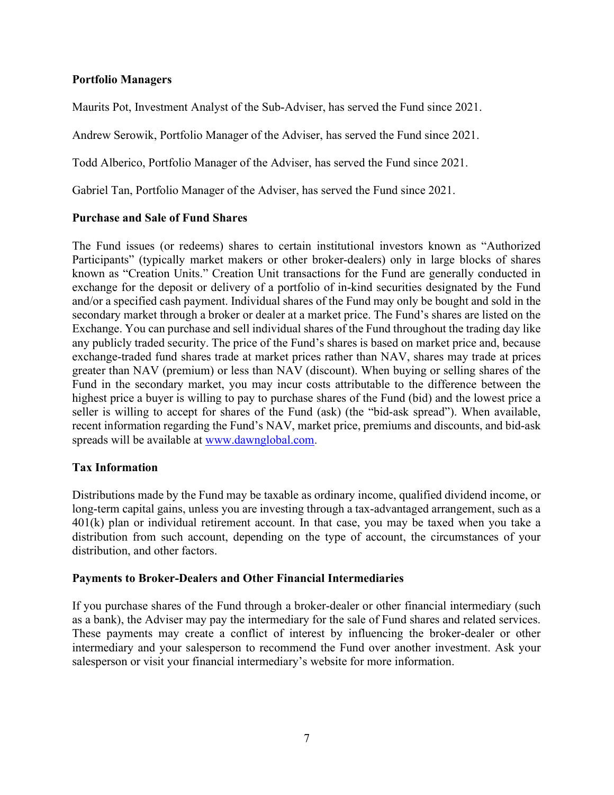### Portfolio Managers

Maurits Pot, Investment Analyst of the Sub-Adviser, has served the Fund since 2021.

Andrew Serowik, Portfolio Manager of the Adviser, has served the Fund since 2021.

Todd Alberico, Portfolio Manager of the Adviser, has served the Fund since 2021.

Gabriel Tan, Portfolio Manager of the Adviser, has served the Fund since 2021.

### Purchase and Sale of Fund Shares

The Fund issues (or redeems) shares to certain institutional investors known as "Authorized Participants" (typically market makers or other broker-dealers) only in large blocks of shares known as "Creation Units." Creation Unit transactions for the Fund are generally conducted in exchange for the deposit or delivery of a portfolio of in-kind securities designated by the Fund and/or a specified cash payment. Individual shares of the Fund may only be bought and sold in the secondary market through a broker or dealer at a market price. The Fund's shares are listed on the Exchange. You can purchase and sell individual shares of the Fund throughout the trading day like any publicly traded security. The price of the Fund's shares is based on market price and, because exchange-traded fund shares trade at market prices rather than NAV, shares may trade at prices greater than NAV (premium) or less than NAV (discount). When buying or selling shares of the Fund in the secondary market, you may incur costs attributable to the difference between the highest price a buyer is willing to pay to purchase shares of the Fund (bid) and the lowest price a seller is willing to accept for shares of the Fund (ask) (the "bid-ask spread"). When available, recent information regarding the Fund's NAV, market price, premiums and discounts, and bid-ask spreads will be available at www.dawnglobal.com.

#### Tax Information

Distributions made by the Fund may be taxable as ordinary income, qualified dividend income, or long-term capital gains, unless you are investing through a tax-advantaged arrangement, such as a 401(k) plan or individual retirement account. In that case, you may be taxed when you take a distribution from such account, depending on the type of account, the circumstances of your distribution, and other factors.

#### Payments to Broker-Dealers and Other Financial Intermediaries

If you purchase shares of the Fund through a broker-dealer or other financial intermediary (such as a bank), the Adviser may pay the intermediary for the sale of Fund shares and related services. These payments may create a conflict of interest by influencing the broker-dealer or other intermediary and your salesperson to recommend the Fund over another investment. Ask your salesperson or visit your financial intermediary's website for more information.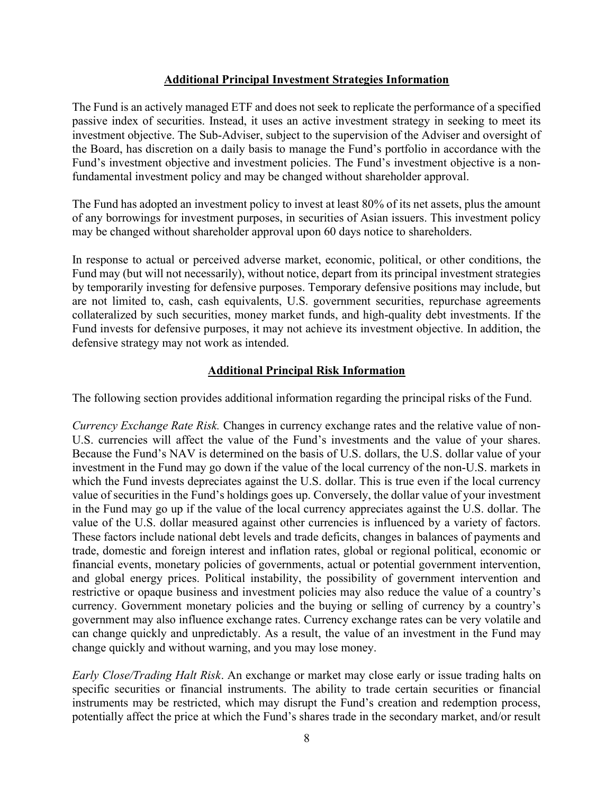### Additional Principal Investment Strategies Information

The Fund is an actively managed ETF and does not seek to replicate the performance of a specified passive index of securities. Instead, it uses an active investment strategy in seeking to meet its investment objective. The Sub-Adviser, subject to the supervision of the Adviser and oversight of the Board, has discretion on a daily basis to manage the Fund's portfolio in accordance with the Fund's investment objective and investment policies. The Fund's investment objective is a nonfundamental investment policy and may be changed without shareholder approval.

The Fund has adopted an investment policy to invest at least 80% of its net assets, plus the amount of any borrowings for investment purposes, in securities of Asian issuers. This investment policy may be changed without shareholder approval upon 60 days notice to shareholders.

In response to actual or perceived adverse market, economic, political, or other conditions, the Fund may (but will not necessarily), without notice, depart from its principal investment strategies by temporarily investing for defensive purposes. Temporary defensive positions may include, but are not limited to, cash, cash equivalents, U.S. government securities, repurchase agreements collateralized by such securities, money market funds, and high-quality debt investments. If the Fund invests for defensive purposes, it may not achieve its investment objective. In addition, the defensive strategy may not work as intended.

## Additional Principal Risk Information

The following section provides additional information regarding the principal risks of the Fund.

Currency Exchange Rate Risk. Changes in currency exchange rates and the relative value of non-U.S. currencies will affect the value of the Fund's investments and the value of your shares. Because the Fund's NAV is determined on the basis of U.S. dollars, the U.S. dollar value of your investment in the Fund may go down if the value of the local currency of the non-U.S. markets in which the Fund invests depreciates against the U.S. dollar. This is true even if the local currency value of securities in the Fund's holdings goes up. Conversely, the dollar value of your investment in the Fund may go up if the value of the local currency appreciates against the U.S. dollar. The value of the U.S. dollar measured against other currencies is influenced by a variety of factors. These factors include national debt levels and trade deficits, changes in balances of payments and trade, domestic and foreign interest and inflation rates, global or regional political, economic or financial events, monetary policies of governments, actual or potential government intervention, and global energy prices. Political instability, the possibility of government intervention and restrictive or opaque business and investment policies may also reduce the value of a country's currency. Government monetary policies and the buying or selling of currency by a country's government may also influence exchange rates. Currency exchange rates can be very volatile and can change quickly and unpredictably. As a result, the value of an investment in the Fund may change quickly and without warning, and you may lose money.

Early Close/Trading Halt Risk. An exchange or market may close early or issue trading halts on specific securities or financial instruments. The ability to trade certain securities or financial instruments may be restricted, which may disrupt the Fund's creation and redemption process, potentially affect the price at which the Fund's shares trade in the secondary market, and/or result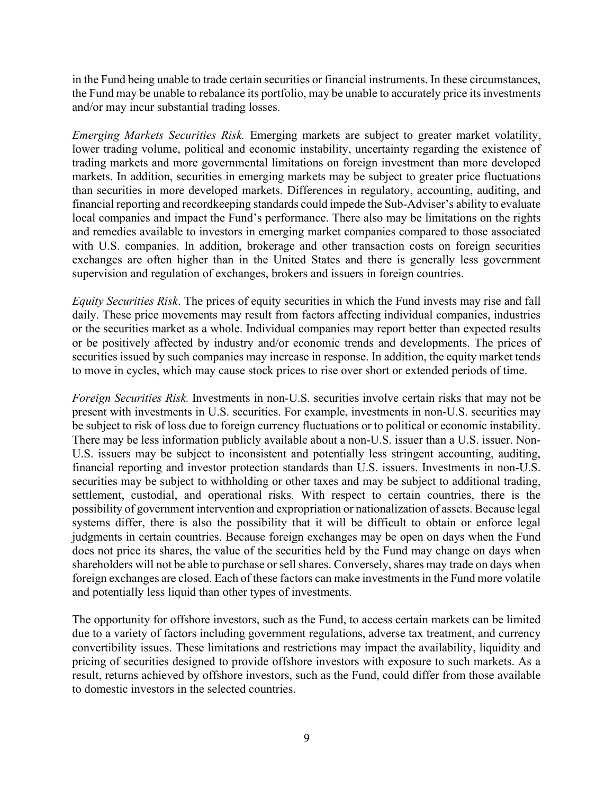in the Fund being unable to trade certain securities or financial instruments. In these circumstances, the Fund may be unable to rebalance its portfolio, may be unable to accurately price its investments and/or may incur substantial trading losses.

Emerging Markets Securities Risk. Emerging markets are subject to greater market volatility, lower trading volume, political and economic instability, uncertainty regarding the existence of trading markets and more governmental limitations on foreign investment than more developed markets. In addition, securities in emerging markets may be subject to greater price fluctuations than securities in more developed markets. Differences in regulatory, accounting, auditing, and financial reporting and recordkeeping standards could impede the Sub-Adviser's ability to evaluate local companies and impact the Fund's performance. There also may be limitations on the rights and remedies available to investors in emerging market companies compared to those associated with U.S. companies. In addition, brokerage and other transaction costs on foreign securities exchanges are often higher than in the United States and there is generally less government supervision and regulation of exchanges, brokers and issuers in foreign countries.

Equity Securities Risk. The prices of equity securities in which the Fund invests may rise and fall daily. These price movements may result from factors affecting individual companies, industries or the securities market as a whole. Individual companies may report better than expected results or be positively affected by industry and/or economic trends and developments. The prices of securities issued by such companies may increase in response. In addition, the equity market tends to move in cycles, which may cause stock prices to rise over short or extended periods of time.

Foreign Securities Risk. Investments in non-U.S. securities involve certain risks that may not be present with investments in U.S. securities. For example, investments in non-U.S. securities may be subject to risk of loss due to foreign currency fluctuations or to political or economic instability. There may be less information publicly available about a non-U.S. issuer than a U.S. issuer. Non-U.S. issuers may be subject to inconsistent and potentially less stringent accounting, auditing, financial reporting and investor protection standards than U.S. issuers. Investments in non-U.S. securities may be subject to withholding or other taxes and may be subject to additional trading, settlement, custodial, and operational risks. With respect to certain countries, there is the possibility of government intervention and expropriation or nationalization of assets. Because legal systems differ, there is also the possibility that it will be difficult to obtain or enforce legal judgments in certain countries. Because foreign exchanges may be open on days when the Fund does not price its shares, the value of the securities held by the Fund may change on days when shareholders will not be able to purchase or sell shares. Conversely, shares may trade on days when foreign exchanges are closed. Each of these factors can make investments in the Fund more volatile and potentially less liquid than other types of investments.

The opportunity for offshore investors, such as the Fund, to access certain markets can be limited due to a variety of factors including government regulations, adverse tax treatment, and currency convertibility issues. These limitations and restrictions may impact the availability, liquidity and pricing of securities designed to provide offshore investors with exposure to such markets. As a result, returns achieved by offshore investors, such as the Fund, could differ from those available to domestic investors in the selected countries.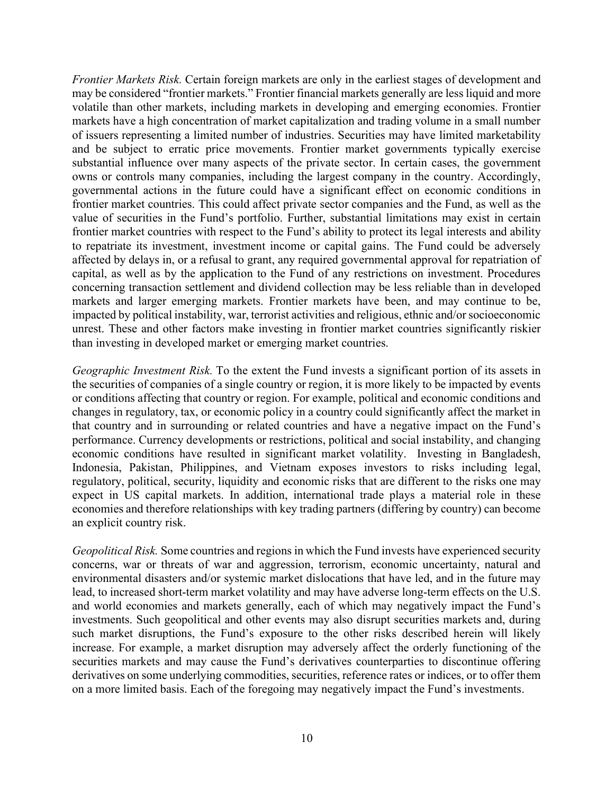Frontier Markets Risk. Certain foreign markets are only in the earliest stages of development and may be considered "frontier markets." Frontier financial markets generally are less liquid and more volatile than other markets, including markets in developing and emerging economies. Frontier markets have a high concentration of market capitalization and trading volume in a small number of issuers representing a limited number of industries. Securities may have limited marketability and be subject to erratic price movements. Frontier market governments typically exercise substantial influence over many aspects of the private sector. In certain cases, the government owns or controls many companies, including the largest company in the country. Accordingly, governmental actions in the future could have a significant effect on economic conditions in frontier market countries. This could affect private sector companies and the Fund, as well as the value of securities in the Fund's portfolio. Further, substantial limitations may exist in certain frontier market countries with respect to the Fund's ability to protect its legal interests and ability to repatriate its investment, investment income or capital gains. The Fund could be adversely affected by delays in, or a refusal to grant, any required governmental approval for repatriation of capital, as well as by the application to the Fund of any restrictions on investment. Procedures concerning transaction settlement and dividend collection may be less reliable than in developed markets and larger emerging markets. Frontier markets have been, and may continue to be, impacted by political instability, war, terrorist activities and religious, ethnic and/or socioeconomic unrest. These and other factors make investing in frontier market countries significantly riskier than investing in developed market or emerging market countries.

Geographic Investment Risk. To the extent the Fund invests a significant portion of its assets in the securities of companies of a single country or region, it is more likely to be impacted by events or conditions affecting that country or region. For example, political and economic conditions and changes in regulatory, tax, or economic policy in a country could significantly affect the market in that country and in surrounding or related countries and have a negative impact on the Fund's performance. Currency developments or restrictions, political and social instability, and changing economic conditions have resulted in significant market volatility. Investing in Bangladesh, Indonesia, Pakistan, Philippines, and Vietnam exposes investors to risks including legal, regulatory, political, security, liquidity and economic risks that are different to the risks one may expect in US capital markets. In addition, international trade plays a material role in these economies and therefore relationships with key trading partners (differing by country) can become an explicit country risk.

Geopolitical Risk. Some countries and regions in which the Fund invests have experienced security concerns, war or threats of war and aggression, terrorism, economic uncertainty, natural and environmental disasters and/or systemic market dislocations that have led, and in the future may lead, to increased short-term market volatility and may have adverse long-term effects on the U.S. and world economies and markets generally, each of which may negatively impact the Fund's investments. Such geopolitical and other events may also disrupt securities markets and, during such market disruptions, the Fund's exposure to the other risks described herein will likely increase. For example, a market disruption may adversely affect the orderly functioning of the securities markets and may cause the Fund's derivatives counterparties to discontinue offering derivatives on some underlying commodities, securities, reference rates or indices, or to offer them on a more limited basis. Each of the foregoing may negatively impact the Fund's investments.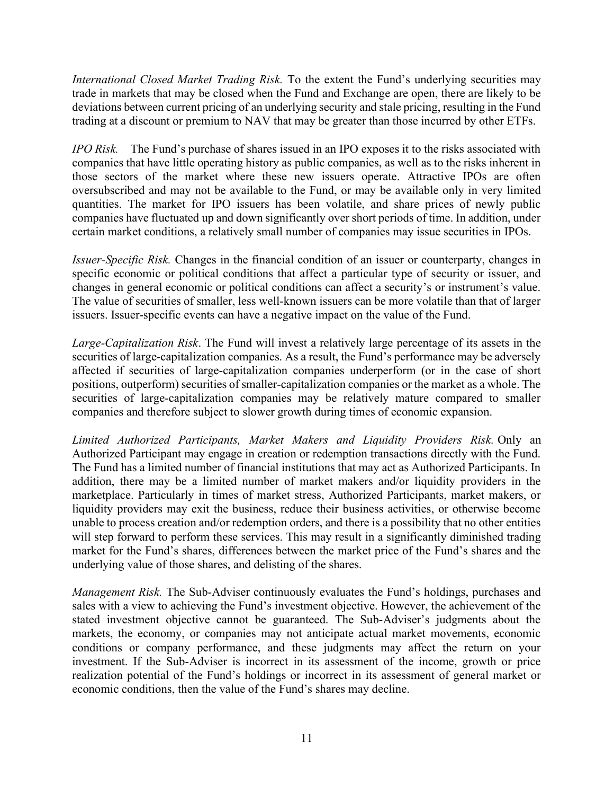International Closed Market Trading Risk. To the extent the Fund's underlying securities may trade in markets that may be closed when the Fund and Exchange are open, there are likely to be deviations between current pricing of an underlying security and stale pricing, resulting in the Fund trading at a discount or premium to NAV that may be greater than those incurred by other ETFs.

IPO Risk. The Fund's purchase of shares issued in an IPO exposes it to the risks associated with companies that have little operating history as public companies, as well as to the risks inherent in those sectors of the market where these new issuers operate. Attractive IPOs are often oversubscribed and may not be available to the Fund, or may be available only in very limited quantities. The market for IPO issuers has been volatile, and share prices of newly public companies have fluctuated up and down significantly over short periods of time. In addition, under certain market conditions, a relatively small number of companies may issue securities in IPOs.

Issuer-Specific Risk. Changes in the financial condition of an issuer or counterparty, changes in specific economic or political conditions that affect a particular type of security or issuer, and changes in general economic or political conditions can affect a security's or instrument's value. The value of securities of smaller, less well-known issuers can be more volatile than that of larger issuers. Issuer-specific events can have a negative impact on the value of the Fund.

Large-Capitalization Risk. The Fund will invest a relatively large percentage of its assets in the securities of large-capitalization companies. As a result, the Fund's performance may be adversely affected if securities of large-capitalization companies underperform (or in the case of short positions, outperform) securities of smaller-capitalization companies or the market as a whole. The securities of large-capitalization companies may be relatively mature compared to smaller companies and therefore subject to slower growth during times of economic expansion.

Limited Authorized Participants, Market Makers and Liquidity Providers Risk. Only an Authorized Participant may engage in creation or redemption transactions directly with the Fund. The Fund has a limited number of financial institutions that may act as Authorized Participants. In addition, there may be a limited number of market makers and/or liquidity providers in the marketplace. Particularly in times of market stress, Authorized Participants, market makers, or liquidity providers may exit the business, reduce their business activities, or otherwise become unable to process creation and/or redemption orders, and there is a possibility that no other entities will step forward to perform these services. This may result in a significantly diminished trading market for the Fund's shares, differences between the market price of the Fund's shares and the underlying value of those shares, and delisting of the shares.

Management Risk. The Sub-Adviser continuously evaluates the Fund's holdings, purchases and sales with a view to achieving the Fund's investment objective. However, the achievement of the stated investment objective cannot be guaranteed. The Sub-Adviser's judgments about the markets, the economy, or companies may not anticipate actual market movements, economic conditions or company performance, and these judgments may affect the return on your investment. If the Sub-Adviser is incorrect in its assessment of the income, growth or price realization potential of the Fund's holdings or incorrect in its assessment of general market or economic conditions, then the value of the Fund's shares may decline.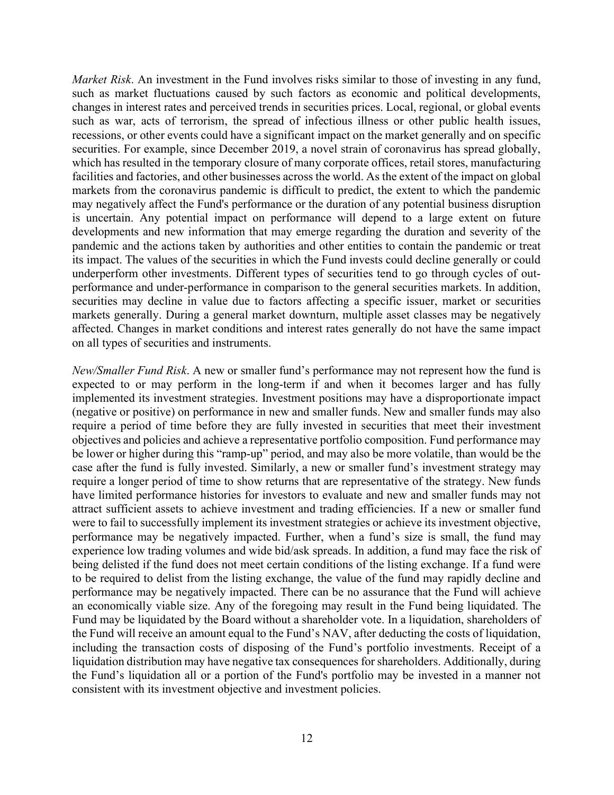Market Risk. An investment in the Fund involves risks similar to those of investing in any fund, such as market fluctuations caused by such factors as economic and political developments, changes in interest rates and perceived trends in securities prices. Local, regional, or global events such as war, acts of terrorism, the spread of infectious illness or other public health issues, recessions, or other events could have a significant impact on the market generally and on specific securities. For example, since December 2019, a novel strain of coronavirus has spread globally, which has resulted in the temporary closure of many corporate offices, retail stores, manufacturing facilities and factories, and other businesses across the world. As the extent of the impact on global markets from the coronavirus pandemic is difficult to predict, the extent to which the pandemic may negatively affect the Fund's performance or the duration of any potential business disruption is uncertain. Any potential impact on performance will depend to a large extent on future developments and new information that may emerge regarding the duration and severity of the pandemic and the actions taken by authorities and other entities to contain the pandemic or treat its impact. The values of the securities in which the Fund invests could decline generally or could underperform other investments. Different types of securities tend to go through cycles of outperformance and under-performance in comparison to the general securities markets. In addition, securities may decline in value due to factors affecting a specific issuer, market or securities markets generally. During a general market downturn, multiple asset classes may be negatively affected. Changes in market conditions and interest rates generally do not have the same impact on all types of securities and instruments.

New/Smaller Fund Risk. A new or smaller fund's performance may not represent how the fund is expected to or may perform in the long-term if and when it becomes larger and has fully implemented its investment strategies. Investment positions may have a disproportionate impact (negative or positive) on performance in new and smaller funds. New and smaller funds may also require a period of time before they are fully invested in securities that meet their investment objectives and policies and achieve a representative portfolio composition. Fund performance may be lower or higher during this "ramp-up" period, and may also be more volatile, than would be the case after the fund is fully invested. Similarly, a new or smaller fund's investment strategy may require a longer period of time to show returns that are representative of the strategy. New funds have limited performance histories for investors to evaluate and new and smaller funds may not attract sufficient assets to achieve investment and trading efficiencies. If a new or smaller fund were to fail to successfully implement its investment strategies or achieve its investment objective, performance may be negatively impacted. Further, when a fund's size is small, the fund may experience low trading volumes and wide bid/ask spreads. In addition, a fund may face the risk of being delisted if the fund does not meet certain conditions of the listing exchange. If a fund were to be required to delist from the listing exchange, the value of the fund may rapidly decline and performance may be negatively impacted. There can be no assurance that the Fund will achieve an economically viable size. Any of the foregoing may result in the Fund being liquidated. The Fund may be liquidated by the Board without a shareholder vote. In a liquidation, shareholders of the Fund will receive an amount equal to the Fund's NAV, after deducting the costs of liquidation, including the transaction costs of disposing of the Fund's portfolio investments. Receipt of a liquidation distribution may have negative tax consequences for shareholders. Additionally, during the Fund's liquidation all or a portion of the Fund's portfolio may be invested in a manner not consistent with its investment objective and investment policies.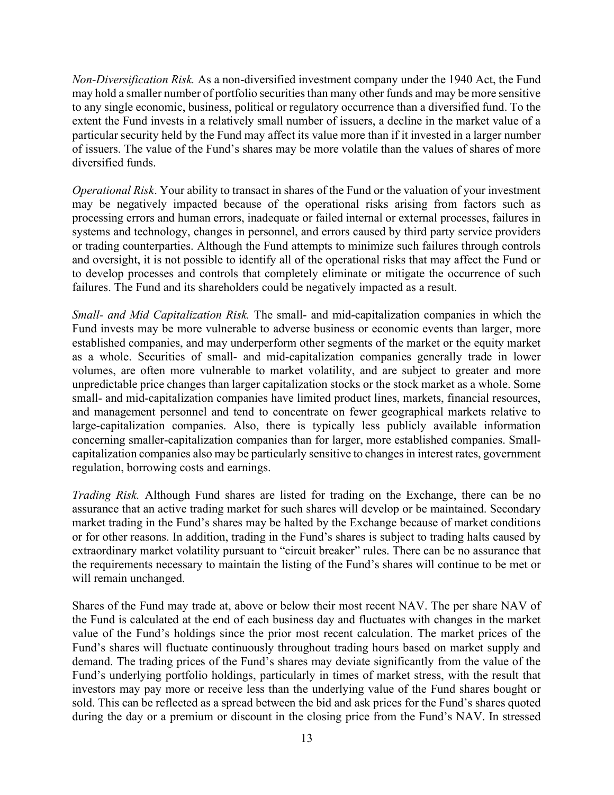Non-Diversification Risk. As a non-diversified investment company under the 1940 Act, the Fund may hold a smaller number of portfolio securities than many other funds and may be more sensitive to any single economic, business, political or regulatory occurrence than a diversified fund. To the extent the Fund invests in a relatively small number of issuers, a decline in the market value of a particular security held by the Fund may affect its value more than if it invested in a larger number of issuers. The value of the Fund's shares may be more volatile than the values of shares of more diversified funds.

Operational Risk. Your ability to transact in shares of the Fund or the valuation of your investment may be negatively impacted because of the operational risks arising from factors such as processing errors and human errors, inadequate or failed internal or external processes, failures in systems and technology, changes in personnel, and errors caused by third party service providers or trading counterparties. Although the Fund attempts to minimize such failures through controls and oversight, it is not possible to identify all of the operational risks that may affect the Fund or to develop processes and controls that completely eliminate or mitigate the occurrence of such failures. The Fund and its shareholders could be negatively impacted as a result.

Small- and Mid Capitalization Risk. The small- and mid-capitalization companies in which the Fund invests may be more vulnerable to adverse business or economic events than larger, more established companies, and may underperform other segments of the market or the equity market as a whole. Securities of small- and mid-capitalization companies generally trade in lower volumes, are often more vulnerable to market volatility, and are subject to greater and more unpredictable price changes than larger capitalization stocks or the stock market as a whole. Some small- and mid-capitalization companies have limited product lines, markets, financial resources, and management personnel and tend to concentrate on fewer geographical markets relative to large-capitalization companies. Also, there is typically less publicly available information concerning smaller-capitalization companies than for larger, more established companies. Smallcapitalization companies also may be particularly sensitive to changes in interest rates, government regulation, borrowing costs and earnings.

Trading Risk. Although Fund shares are listed for trading on the Exchange, there can be no assurance that an active trading market for such shares will develop or be maintained. Secondary market trading in the Fund's shares may be halted by the Exchange because of market conditions or for other reasons. In addition, trading in the Fund's shares is subject to trading halts caused by extraordinary market volatility pursuant to "circuit breaker" rules. There can be no assurance that the requirements necessary to maintain the listing of the Fund's shares will continue to be met or will remain unchanged.

Shares of the Fund may trade at, above or below their most recent NAV. The per share NAV of the Fund is calculated at the end of each business day and fluctuates with changes in the market value of the Fund's holdings since the prior most recent calculation. The market prices of the Fund's shares will fluctuate continuously throughout trading hours based on market supply and demand. The trading prices of the Fund's shares may deviate significantly from the value of the Fund's underlying portfolio holdings, particularly in times of market stress, with the result that investors may pay more or receive less than the underlying value of the Fund shares bought or sold. This can be reflected as a spread between the bid and ask prices for the Fund's shares quoted during the day or a premium or discount in the closing price from the Fund's NAV. In stressed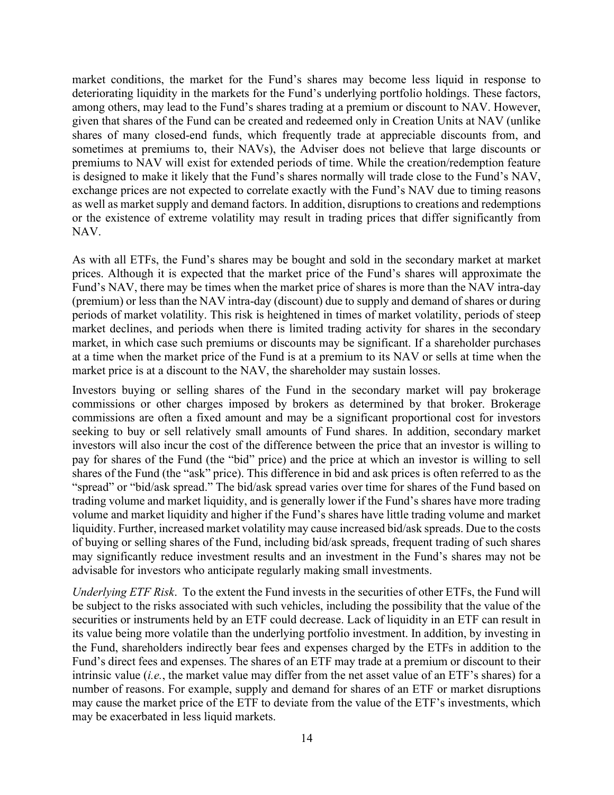market conditions, the market for the Fund's shares may become less liquid in response to deteriorating liquidity in the markets for the Fund's underlying portfolio holdings. These factors, among others, may lead to the Fund's shares trading at a premium or discount to NAV. However, given that shares of the Fund can be created and redeemed only in Creation Units at NAV (unlike shares of many closed-end funds, which frequently trade at appreciable discounts from, and sometimes at premiums to, their NAVs), the Adviser does not believe that large discounts or premiums to NAV will exist for extended periods of time. While the creation/redemption feature is designed to make it likely that the Fund's shares normally will trade close to the Fund's NAV, exchange prices are not expected to correlate exactly with the Fund's NAV due to timing reasons as well as market supply and demand factors. In addition, disruptions to creations and redemptions or the existence of extreme volatility may result in trading prices that differ significantly from NAV.

As with all ETFs, the Fund's shares may be bought and sold in the secondary market at market prices. Although it is expected that the market price of the Fund's shares will approximate the Fund's NAV, there may be times when the market price of shares is more than the NAV intra-day (premium) or less than the NAV intra-day (discount) due to supply and demand of shares or during periods of market volatility. This risk is heightened in times of market volatility, periods of steep market declines, and periods when there is limited trading activity for shares in the secondary market, in which case such premiums or discounts may be significant. If a shareholder purchases at a time when the market price of the Fund is at a premium to its NAV or sells at time when the market price is at a discount to the NAV, the shareholder may sustain losses.

Investors buying or selling shares of the Fund in the secondary market will pay brokerage commissions or other charges imposed by brokers as determined by that broker. Brokerage commissions are often a fixed amount and may be a significant proportional cost for investors seeking to buy or sell relatively small amounts of Fund shares. In addition, secondary market investors will also incur the cost of the difference between the price that an investor is willing to pay for shares of the Fund (the "bid" price) and the price at which an investor is willing to sell shares of the Fund (the "ask" price). This difference in bid and ask prices is often referred to as the "spread" or "bid/ask spread." The bid/ask spread varies over time for shares of the Fund based on trading volume and market liquidity, and is generally lower if the Fund's shares have more trading volume and market liquidity and higher if the Fund's shares have little trading volume and market liquidity. Further, increased market volatility may cause increased bid/ask spreads. Due to the costs of buying or selling shares of the Fund, including bid/ask spreads, frequent trading of such shares may significantly reduce investment results and an investment in the Fund's shares may not be advisable for investors who anticipate regularly making small investments.

Underlying ETF Risk. To the extent the Fund invests in the securities of other ETFs, the Fund will be subject to the risks associated with such vehicles, including the possibility that the value of the securities or instruments held by an ETF could decrease. Lack of liquidity in an ETF can result in its value being more volatile than the underlying portfolio investment. In addition, by investing in the Fund, shareholders indirectly bear fees and expenses charged by the ETFs in addition to the Fund's direct fees and expenses. The shares of an ETF may trade at a premium or discount to their intrinsic value (*i.e.*, the market value may differ from the net asset value of an ETF's shares) for a number of reasons. For example, supply and demand for shares of an ETF or market disruptions may cause the market price of the ETF to deviate from the value of the ETF's investments, which may be exacerbated in less liquid markets.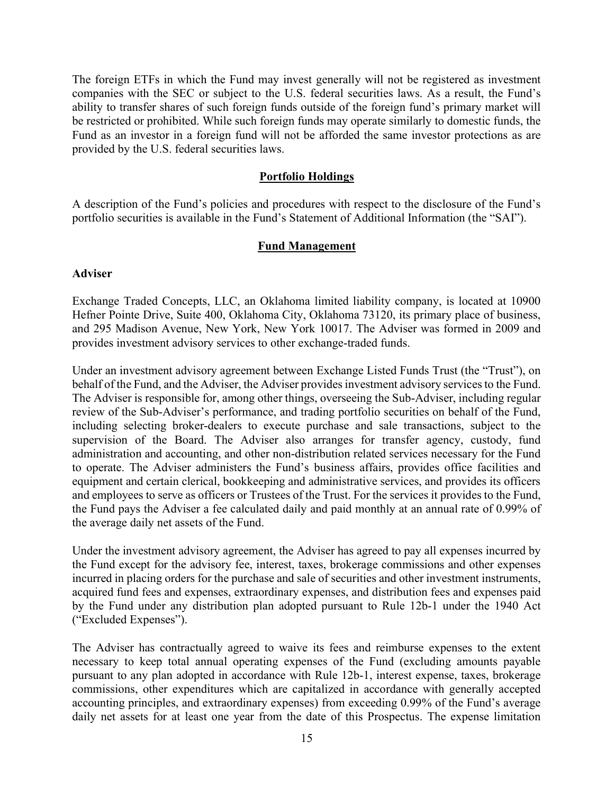The foreign ETFs in which the Fund may invest generally will not be registered as investment companies with the SEC or subject to the U.S. federal securities laws. As a result, the Fund's ability to transfer shares of such foreign funds outside of the foreign fund's primary market will be restricted or prohibited. While such foreign funds may operate similarly to domestic funds, the Fund as an investor in a foreign fund will not be afforded the same investor protections as are provided by the U.S. federal securities laws.

#### Portfolio Holdings

A description of the Fund's policies and procedures with respect to the disclosure of the Fund's portfolio securities is available in the Fund's Statement of Additional Information (the "SAI").

#### Fund Management

#### Adviser

Exchange Traded Concepts, LLC, an Oklahoma limited liability company, is located at 10900 Hefner Pointe Drive, Suite 400, Oklahoma City, Oklahoma 73120, its primary place of business, and 295 Madison Avenue, New York, New York 10017. The Adviser was formed in 2009 and provides investment advisory services to other exchange-traded funds.

Under an investment advisory agreement between Exchange Listed Funds Trust (the "Trust"), on behalf of the Fund, and the Adviser, the Adviser provides investment advisory services to the Fund. The Adviser is responsible for, among other things, overseeing the Sub-Adviser, including regular review of the Sub-Adviser's performance, and trading portfolio securities on behalf of the Fund, including selecting broker-dealers to execute purchase and sale transactions, subject to the supervision of the Board. The Adviser also arranges for transfer agency, custody, fund administration and accounting, and other non-distribution related services necessary for the Fund to operate. The Adviser administers the Fund's business affairs, provides office facilities and equipment and certain clerical, bookkeeping and administrative services, and provides its officers and employees to serve as officers or Trustees of the Trust. For the services it provides to the Fund, the Fund pays the Adviser a fee calculated daily and paid monthly at an annual rate of 0.99% of the average daily net assets of the Fund.

Under the investment advisory agreement, the Adviser has agreed to pay all expenses incurred by the Fund except for the advisory fee, interest, taxes, brokerage commissions and other expenses incurred in placing orders for the purchase and sale of securities and other investment instruments, acquired fund fees and expenses, extraordinary expenses, and distribution fees and expenses paid by the Fund under any distribution plan adopted pursuant to Rule 12b-1 under the 1940 Act ("Excluded Expenses").

The Adviser has contractually agreed to waive its fees and reimburse expenses to the extent necessary to keep total annual operating expenses of the Fund (excluding amounts payable pursuant to any plan adopted in accordance with Rule 12b-1, interest expense, taxes, brokerage commissions, other expenditures which are capitalized in accordance with generally accepted accounting principles, and extraordinary expenses) from exceeding 0.99% of the Fund's average daily net assets for at least one year from the date of this Prospectus. The expense limitation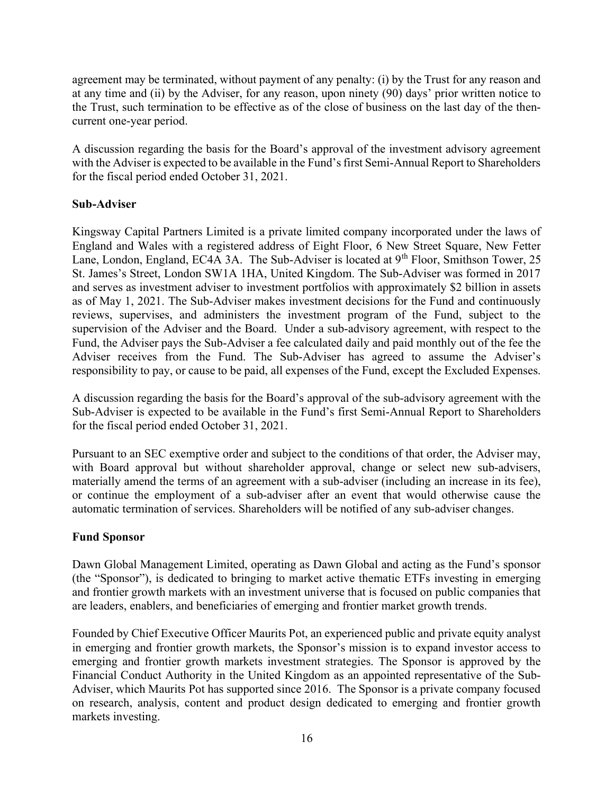agreement may be terminated, without payment of any penalty: (i) by the Trust for any reason and at any time and (ii) by the Adviser, for any reason, upon ninety (90) days' prior written notice to the Trust, such termination to be effective as of the close of business on the last day of the thencurrent one-year period.

A discussion regarding the basis for the Board's approval of the investment advisory agreement with the Adviser is expected to be available in the Fund's first Semi-Annual Report to Shareholders for the fiscal period ended October 31, 2021.

### Sub-Adviser

Kingsway Capital Partners Limited is a private limited company incorporated under the laws of England and Wales with a registered address of Eight Floor, 6 New Street Square, New Fetter Lane, London, England, EC4A 3A. The Sub-Adviser is located at 9<sup>th</sup> Floor, Smithson Tower, 25 St. James's Street, London SW1A 1HA, United Kingdom. The Sub-Adviser was formed in 2017 and serves as investment adviser to investment portfolios with approximately \$2 billion in assets as of May 1, 2021. The Sub-Adviser makes investment decisions for the Fund and continuously reviews, supervises, and administers the investment program of the Fund, subject to the supervision of the Adviser and the Board. Under a sub-advisory agreement, with respect to the Fund, the Adviser pays the Sub-Adviser a fee calculated daily and paid monthly out of the fee the Adviser receives from the Fund. The Sub-Adviser has agreed to assume the Adviser's responsibility to pay, or cause to be paid, all expenses of the Fund, except the Excluded Expenses.

A discussion regarding the basis for the Board's approval of the sub-advisory agreement with the Sub-Adviser is expected to be available in the Fund's first Semi-Annual Report to Shareholders for the fiscal period ended October 31, 2021.

Pursuant to an SEC exemptive order and subject to the conditions of that order, the Adviser may, with Board approval but without shareholder approval, change or select new sub-advisers, materially amend the terms of an agreement with a sub-adviser (including an increase in its fee), or continue the employment of a sub-adviser after an event that would otherwise cause the automatic termination of services. Shareholders will be notified of any sub-adviser changes.

#### Fund Sponsor

Dawn Global Management Limited, operating as Dawn Global and acting as the Fund's sponsor (the "Sponsor"), is dedicated to bringing to market active thematic ETFs investing in emerging and frontier growth markets with an investment universe that is focused on public companies that are leaders, enablers, and beneficiaries of emerging and frontier market growth trends.

Founded by Chief Executive Officer Maurits Pot, an experienced public and private equity analyst in emerging and frontier growth markets, the Sponsor's mission is to expand investor access to emerging and frontier growth markets investment strategies. The Sponsor is approved by the Financial Conduct Authority in the United Kingdom as an appointed representative of the Sub-Adviser, which Maurits Pot has supported since 2016. The Sponsor is a private company focused on research, analysis, content and product design dedicated to emerging and frontier growth markets investing.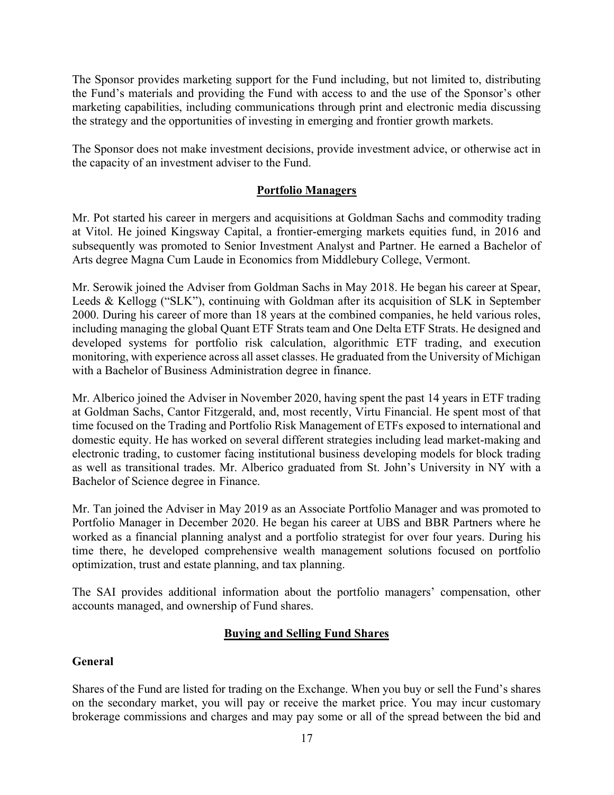The Sponsor provides marketing support for the Fund including, but not limited to, distributing the Fund's materials and providing the Fund with access to and the use of the Sponsor's other marketing capabilities, including communications through print and electronic media discussing the strategy and the opportunities of investing in emerging and frontier growth markets.

The Sponsor does not make investment decisions, provide investment advice, or otherwise act in the capacity of an investment adviser to the Fund.

## Portfolio Managers

Mr. Pot started his career in mergers and acquisitions at Goldman Sachs and commodity trading at Vitol. He joined Kingsway Capital, a frontier-emerging markets equities fund, in 2016 and subsequently was promoted to Senior Investment Analyst and Partner. He earned a Bachelor of Arts degree Magna Cum Laude in Economics from Middlebury College, Vermont.

Mr. Serowik joined the Adviser from Goldman Sachs in May 2018. He began his career at Spear, Leeds & Kellogg ("SLK"), continuing with Goldman after its acquisition of SLK in September 2000. During his career of more than 18 years at the combined companies, he held various roles, including managing the global Quant ETF Strats team and One Delta ETF Strats. He designed and developed systems for portfolio risk calculation, algorithmic ETF trading, and execution monitoring, with experience across all asset classes. He graduated from the University of Michigan with a Bachelor of Business Administration degree in finance.

Mr. Alberico joined the Adviser in November 2020, having spent the past 14 years in ETF trading at Goldman Sachs, Cantor Fitzgerald, and, most recently, Virtu Financial. He spent most of that time focused on the Trading and Portfolio Risk Management of ETFs exposed to international and domestic equity. He has worked on several different strategies including lead market-making and electronic trading, to customer facing institutional business developing models for block trading as well as transitional trades. Mr. Alberico graduated from St. John's University in NY with a Bachelor of Science degree in Finance.

Mr. Tan joined the Adviser in May 2019 as an Associate Portfolio Manager and was promoted to Portfolio Manager in December 2020. He began his career at UBS and BBR Partners where he worked as a financial planning analyst and a portfolio strategist for over four years. During his time there, he developed comprehensive wealth management solutions focused on portfolio optimization, trust and estate planning, and tax planning.

The SAI provides additional information about the portfolio managers' compensation, other accounts managed, and ownership of Fund shares.

## Buying and Selling Fund Shares

## General

Shares of the Fund are listed for trading on the Exchange. When you buy or sell the Fund's shares on the secondary market, you will pay or receive the market price. You may incur customary brokerage commissions and charges and may pay some or all of the spread between the bid and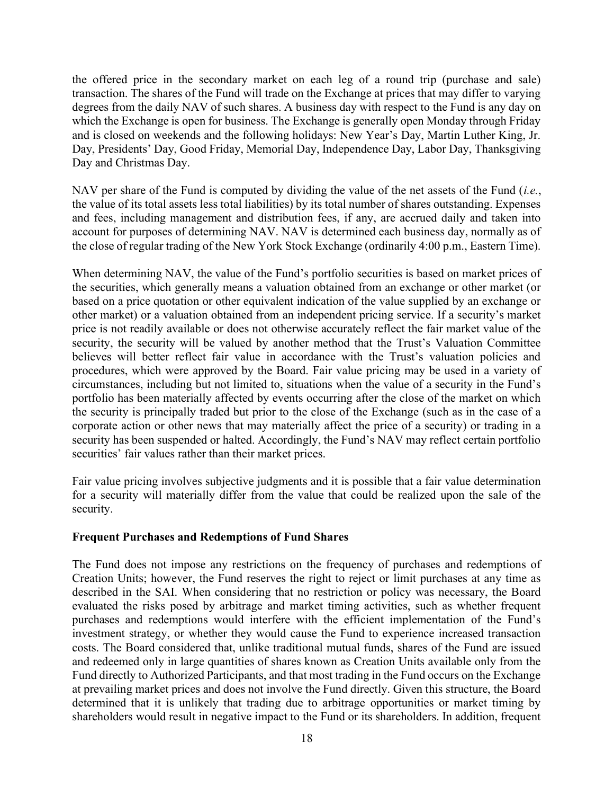the offered price in the secondary market on each leg of a round trip (purchase and sale) transaction. The shares of the Fund will trade on the Exchange at prices that may differ to varying degrees from the daily NAV of such shares. A business day with respect to the Fund is any day on which the Exchange is open for business. The Exchange is generally open Monday through Friday and is closed on weekends and the following holidays: New Year's Day, Martin Luther King, Jr. Day, Presidents' Day, Good Friday, Memorial Day, Independence Day, Labor Day, Thanksgiving Day and Christmas Day.

NAV per share of the Fund is computed by dividing the value of the net assets of the Fund  $(i.e.,$ the value of its total assets less total liabilities) by its total number of shares outstanding. Expenses and fees, including management and distribution fees, if any, are accrued daily and taken into account for purposes of determining NAV. NAV is determined each business day, normally as of the close of regular trading of the New York Stock Exchange (ordinarily 4:00 p.m., Eastern Time).

When determining NAV, the value of the Fund's portfolio securities is based on market prices of the securities, which generally means a valuation obtained from an exchange or other market (or based on a price quotation or other equivalent indication of the value supplied by an exchange or other market) or a valuation obtained from an independent pricing service. If a security's market price is not readily available or does not otherwise accurately reflect the fair market value of the security, the security will be valued by another method that the Trust's Valuation Committee believes will better reflect fair value in accordance with the Trust's valuation policies and procedures, which were approved by the Board. Fair value pricing may be used in a variety of circumstances, including but not limited to, situations when the value of a security in the Fund's portfolio has been materially affected by events occurring after the close of the market on which the security is principally traded but prior to the close of the Exchange (such as in the case of a corporate action or other news that may materially affect the price of a security) or trading in a security has been suspended or halted. Accordingly, the Fund's NAV may reflect certain portfolio securities' fair values rather than their market prices.

Fair value pricing involves subjective judgments and it is possible that a fair value determination for a security will materially differ from the value that could be realized upon the sale of the security.

#### Frequent Purchases and Redemptions of Fund Shares

The Fund does not impose any restrictions on the frequency of purchases and redemptions of Creation Units; however, the Fund reserves the right to reject or limit purchases at any time as described in the SAI. When considering that no restriction or policy was necessary, the Board evaluated the risks posed by arbitrage and market timing activities, such as whether frequent purchases and redemptions would interfere with the efficient implementation of the Fund's investment strategy, or whether they would cause the Fund to experience increased transaction costs. The Board considered that, unlike traditional mutual funds, shares of the Fund are issued and redeemed only in large quantities of shares known as Creation Units available only from the Fund directly to Authorized Participants, and that most trading in the Fund occurs on the Exchange at prevailing market prices and does not involve the Fund directly. Given this structure, the Board determined that it is unlikely that trading due to arbitrage opportunities or market timing by shareholders would result in negative impact to the Fund or its shareholders. In addition, frequent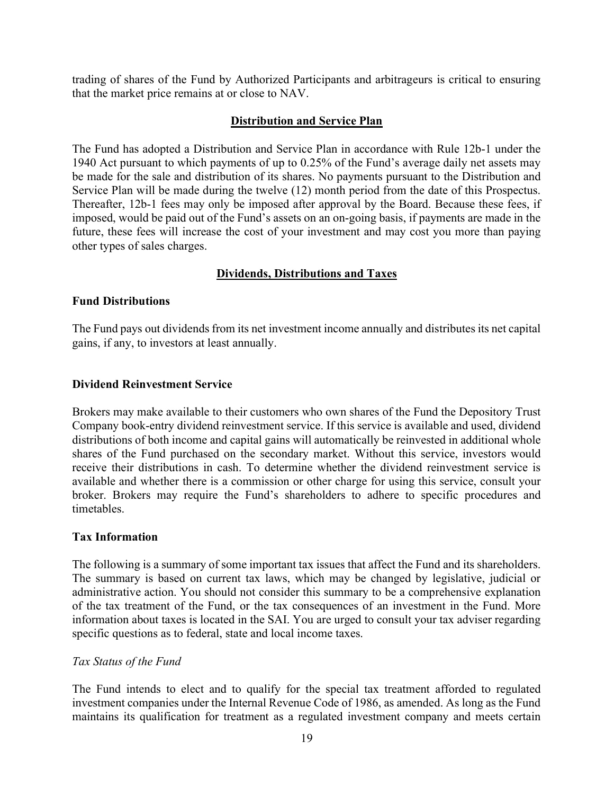trading of shares of the Fund by Authorized Participants and arbitrageurs is critical to ensuring that the market price remains at or close to NAV.

## Distribution and Service Plan

The Fund has adopted a Distribution and Service Plan in accordance with Rule 12b-1 under the 1940 Act pursuant to which payments of up to 0.25% of the Fund's average daily net assets may be made for the sale and distribution of its shares. No payments pursuant to the Distribution and Service Plan will be made during the twelve (12) month period from the date of this Prospectus. Thereafter, 12b-1 fees may only be imposed after approval by the Board. Because these fees, if imposed, would be paid out of the Fund's assets on an on-going basis, if payments are made in the future, these fees will increase the cost of your investment and may cost you more than paying other types of sales charges.

## Dividends, Distributions and Taxes

#### Fund Distributions

The Fund pays out dividends from its net investment income annually and distributes its net capital gains, if any, to investors at least annually.

#### Dividend Reinvestment Service

Brokers may make available to their customers who own shares of the Fund the Depository Trust Company book-entry dividend reinvestment service. If this service is available and used, dividend distributions of both income and capital gains will automatically be reinvested in additional whole shares of the Fund purchased on the secondary market. Without this service, investors would receive their distributions in cash. To determine whether the dividend reinvestment service is available and whether there is a commission or other charge for using this service, consult your broker. Brokers may require the Fund's shareholders to adhere to specific procedures and timetables.

#### Tax Information

The following is a summary of some important tax issues that affect the Fund and its shareholders. The summary is based on current tax laws, which may be changed by legislative, judicial or administrative action. You should not consider this summary to be a comprehensive explanation of the tax treatment of the Fund, or the tax consequences of an investment in the Fund. More information about taxes is located in the SAI. You are urged to consult your tax adviser regarding specific questions as to federal, state and local income taxes.

#### Tax Status of the Fund

The Fund intends to elect and to qualify for the special tax treatment afforded to regulated investment companies under the Internal Revenue Code of 1986, as amended. As long as the Fund maintains its qualification for treatment as a regulated investment company and meets certain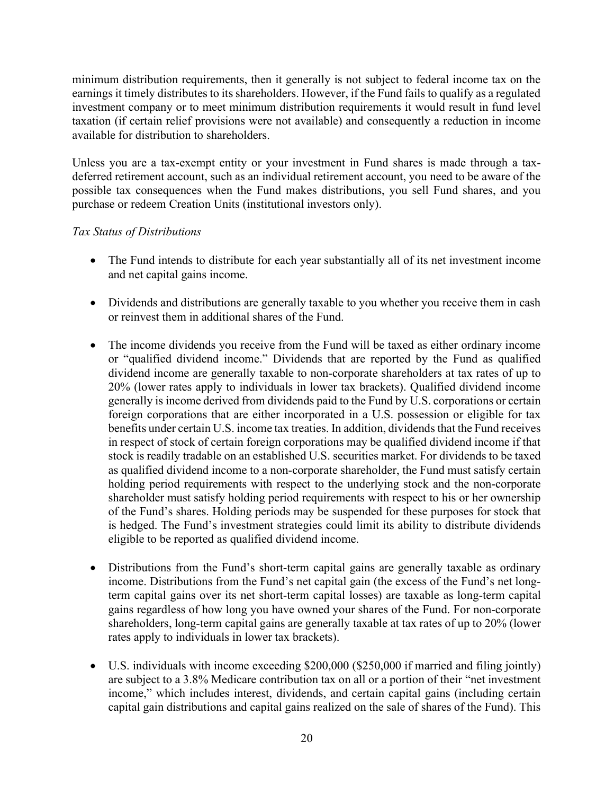minimum distribution requirements, then it generally is not subject to federal income tax on the earnings it timely distributes to its shareholders. However, if the Fund fails to qualify as a regulated investment company or to meet minimum distribution requirements it would result in fund level taxation (if certain relief provisions were not available) and consequently a reduction in income available for distribution to shareholders.

Unless you are a tax-exempt entity or your investment in Fund shares is made through a taxdeferred retirement account, such as an individual retirement account, you need to be aware of the possible tax consequences when the Fund makes distributions, you sell Fund shares, and you purchase or redeem Creation Units (institutional investors only).

### Tax Status of Distributions

- The Fund intends to distribute for each year substantially all of its net investment income and net capital gains income.
- Dividends and distributions are generally taxable to you whether you receive them in cash or reinvest them in additional shares of the Fund.
- The income dividends you receive from the Fund will be taxed as either ordinary income or "qualified dividend income." Dividends that are reported by the Fund as qualified dividend income are generally taxable to non-corporate shareholders at tax rates of up to 20% (lower rates apply to individuals in lower tax brackets). Qualified dividend income generally is income derived from dividends paid to the Fund by U.S. corporations or certain foreign corporations that are either incorporated in a U.S. possession or eligible for tax benefits under certain U.S. income tax treaties. In addition, dividends that the Fund receives in respect of stock of certain foreign corporations may be qualified dividend income if that stock is readily tradable on an established U.S. securities market. For dividends to be taxed as qualified dividend income to a non-corporate shareholder, the Fund must satisfy certain holding period requirements with respect to the underlying stock and the non-corporate shareholder must satisfy holding period requirements with respect to his or her ownership of the Fund's shares. Holding periods may be suspended for these purposes for stock that is hedged. The Fund's investment strategies could limit its ability to distribute dividends eligible to be reported as qualified dividend income.
- Distributions from the Fund's short-term capital gains are generally taxable as ordinary income. Distributions from the Fund's net capital gain (the excess of the Fund's net longterm capital gains over its net short-term capital losses) are taxable as long-term capital gains regardless of how long you have owned your shares of the Fund. For non-corporate shareholders, long-term capital gains are generally taxable at tax rates of up to 20% (lower rates apply to individuals in lower tax brackets).
- U.S. individuals with income exceeding \$200,000 (\$250,000 if married and filing jointly) are subject to a 3.8% Medicare contribution tax on all or a portion of their "net investment income," which includes interest, dividends, and certain capital gains (including certain capital gain distributions and capital gains realized on the sale of shares of the Fund). This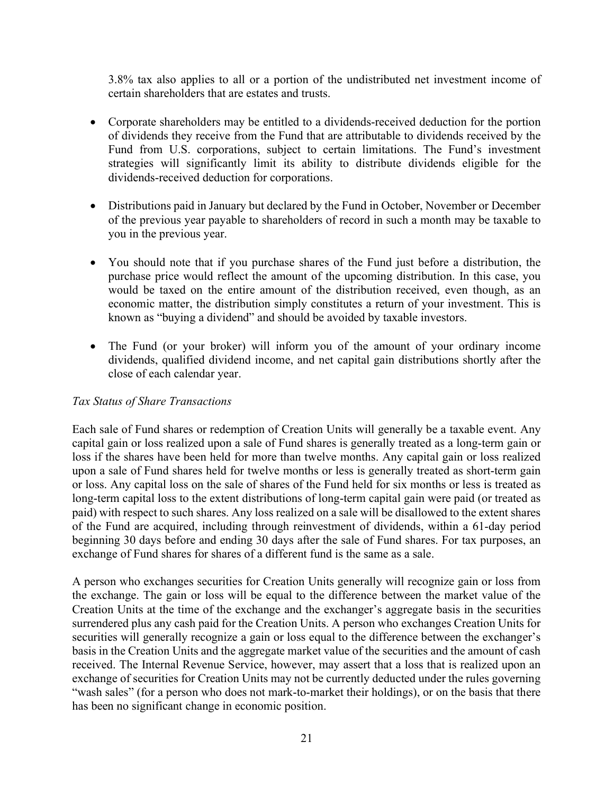3.8% tax also applies to all or a portion of the undistributed net investment income of certain shareholders that are estates and trusts.

- Corporate shareholders may be entitled to a dividends-received deduction for the portion of dividends they receive from the Fund that are attributable to dividends received by the Fund from U.S. corporations, subject to certain limitations. The Fund's investment strategies will significantly limit its ability to distribute dividends eligible for the dividends-received deduction for corporations.
- Distributions paid in January but declared by the Fund in October, November or December of the previous year payable to shareholders of record in such a month may be taxable to you in the previous year.
- You should note that if you purchase shares of the Fund just before a distribution, the purchase price would reflect the amount of the upcoming distribution. In this case, you would be taxed on the entire amount of the distribution received, even though, as an economic matter, the distribution simply constitutes a return of your investment. This is known as "buying a dividend" and should be avoided by taxable investors.
- The Fund (or your broker) will inform you of the amount of your ordinary income dividends, qualified dividend income, and net capital gain distributions shortly after the close of each calendar year.

#### Tax Status of Share Transactions

Each sale of Fund shares or redemption of Creation Units will generally be a taxable event. Any capital gain or loss realized upon a sale of Fund shares is generally treated as a long-term gain or loss if the shares have been held for more than twelve months. Any capital gain or loss realized upon a sale of Fund shares held for twelve months or less is generally treated as short-term gain or loss. Any capital loss on the sale of shares of the Fund held for six months or less is treated as long-term capital loss to the extent distributions of long-term capital gain were paid (or treated as paid) with respect to such shares. Any loss realized on a sale will be disallowed to the extent shares of the Fund are acquired, including through reinvestment of dividends, within a 61-day period beginning 30 days before and ending 30 days after the sale of Fund shares. For tax purposes, an exchange of Fund shares for shares of a different fund is the same as a sale.

A person who exchanges securities for Creation Units generally will recognize gain or loss from the exchange. The gain or loss will be equal to the difference between the market value of the Creation Units at the time of the exchange and the exchanger's aggregate basis in the securities surrendered plus any cash paid for the Creation Units. A person who exchanges Creation Units for securities will generally recognize a gain or loss equal to the difference between the exchanger's basis in the Creation Units and the aggregate market value of the securities and the amount of cash received. The Internal Revenue Service, however, may assert that a loss that is realized upon an exchange of securities for Creation Units may not be currently deducted under the rules governing "wash sales" (for a person who does not mark-to-market their holdings), or on the basis that there has been no significant change in economic position.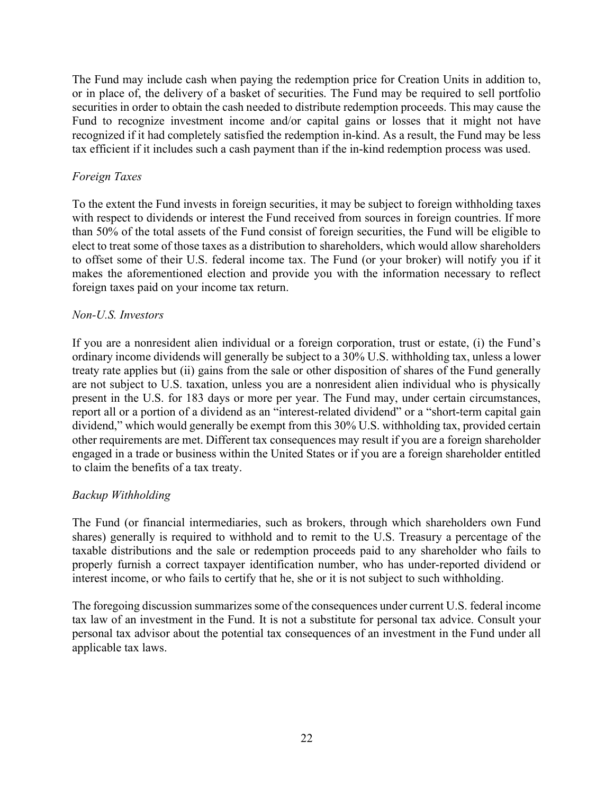The Fund may include cash when paying the redemption price for Creation Units in addition to, or in place of, the delivery of a basket of securities. The Fund may be required to sell portfolio securities in order to obtain the cash needed to distribute redemption proceeds. This may cause the Fund to recognize investment income and/or capital gains or losses that it might not have recognized if it had completely satisfied the redemption in-kind. As a result, the Fund may be less tax efficient if it includes such a cash payment than if the in-kind redemption process was used.

## Foreign Taxes

To the extent the Fund invests in foreign securities, it may be subject to foreign withholding taxes with respect to dividends or interest the Fund received from sources in foreign countries. If more than 50% of the total assets of the Fund consist of foreign securities, the Fund will be eligible to elect to treat some of those taxes as a distribution to shareholders, which would allow shareholders to offset some of their U.S. federal income tax. The Fund (or your broker) will notify you if it makes the aforementioned election and provide you with the information necessary to reflect foreign taxes paid on your income tax return.

### Non-U.S. Investors

If you are a nonresident alien individual or a foreign corporation, trust or estate, (i) the Fund's ordinary income dividends will generally be subject to a 30% U.S. withholding tax, unless a lower treaty rate applies but (ii) gains from the sale or other disposition of shares of the Fund generally are not subject to U.S. taxation, unless you are a nonresident alien individual who is physically present in the U.S. for 183 days or more per year. The Fund may, under certain circumstances, report all or a portion of a dividend as an "interest-related dividend" or a "short-term capital gain dividend," which would generally be exempt from this 30% U.S. withholding tax, provided certain other requirements are met. Different tax consequences may result if you are a foreign shareholder engaged in a trade or business within the United States or if you are a foreign shareholder entitled to claim the benefits of a tax treaty.

#### Backup Withholding

The Fund (or financial intermediaries, such as brokers, through which shareholders own Fund shares) generally is required to withhold and to remit to the U.S. Treasury a percentage of the taxable distributions and the sale or redemption proceeds paid to any shareholder who fails to properly furnish a correct taxpayer identification number, who has under-reported dividend or interest income, or who fails to certify that he, she or it is not subject to such withholding.

The foregoing discussion summarizes some of the consequences under current U.S. federal income tax law of an investment in the Fund. It is not a substitute for personal tax advice. Consult your personal tax advisor about the potential tax consequences of an investment in the Fund under all applicable tax laws.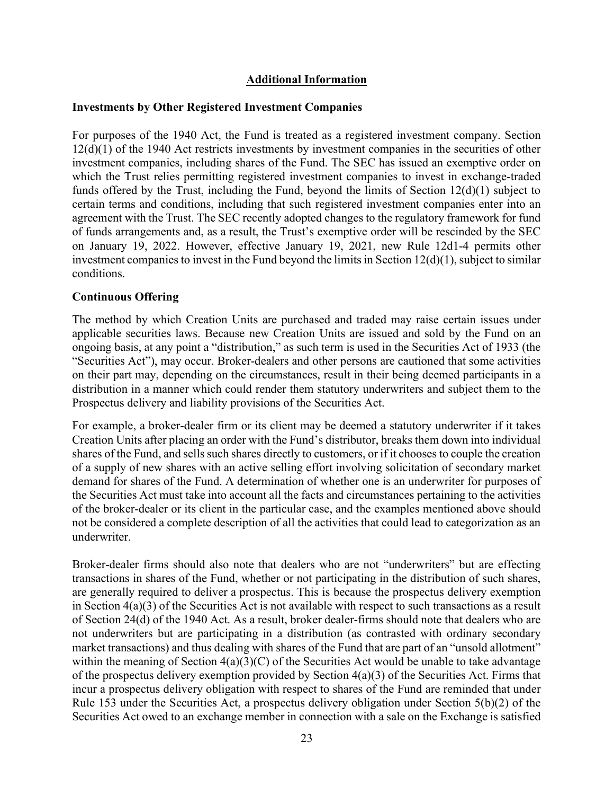## Additional Information

#### Investments by Other Registered Investment Companies

For purposes of the 1940 Act, the Fund is treated as a registered investment company. Section 12(d)(1) of the 1940 Act restricts investments by investment companies in the securities of other investment companies, including shares of the Fund. The SEC has issued an exemptive order on which the Trust relies permitting registered investment companies to invest in exchange-traded funds offered by the Trust, including the Fund, beyond the limits of Section 12(d)(1) subject to certain terms and conditions, including that such registered investment companies enter into an agreement with the Trust. The SEC recently adopted changes to the regulatory framework for fund of funds arrangements and, as a result, the Trust's exemptive order will be rescinded by the SEC on January 19, 2022. However, effective January 19, 2021, new Rule 12d1-4 permits other investment companies to invest in the Fund beyond the limits in Section 12(d)(1), subject to similar conditions.

### Continuous Offering

The method by which Creation Units are purchased and traded may raise certain issues under applicable securities laws. Because new Creation Units are issued and sold by the Fund on an ongoing basis, at any point a "distribution," as such term is used in the Securities Act of 1933 (the "Securities Act"), may occur. Broker-dealers and other persons are cautioned that some activities on their part may, depending on the circumstances, result in their being deemed participants in a distribution in a manner which could render them statutory underwriters and subject them to the Prospectus delivery and liability provisions of the Securities Act.

For example, a broker-dealer firm or its client may be deemed a statutory underwriter if it takes Creation Units after placing an order with the Fund's distributor, breaks them down into individual shares of the Fund, and sells such shares directly to customers, or if it chooses to couple the creation of a supply of new shares with an active selling effort involving solicitation of secondary market demand for shares of the Fund. A determination of whether one is an underwriter for purposes of the Securities Act must take into account all the facts and circumstances pertaining to the activities of the broker-dealer or its client in the particular case, and the examples mentioned above should not be considered a complete description of all the activities that could lead to categorization as an underwriter.

Broker-dealer firms should also note that dealers who are not "underwriters" but are effecting transactions in shares of the Fund, whether or not participating in the distribution of such shares, are generally required to deliver a prospectus. This is because the prospectus delivery exemption in Section  $4(a)(3)$  of the Securities Act is not available with respect to such transactions as a result of Section 24(d) of the 1940 Act. As a result, broker dealer-firms should note that dealers who are not underwriters but are participating in a distribution (as contrasted with ordinary secondary market transactions) and thus dealing with shares of the Fund that are part of an "unsold allotment" within the meaning of Section  $4(a)(3)(C)$  of the Securities Act would be unable to take advantage of the prospectus delivery exemption provided by Section 4(a)(3) of the Securities Act. Firms that incur a prospectus delivery obligation with respect to shares of the Fund are reminded that under Rule 153 under the Securities Act, a prospectus delivery obligation under Section 5(b)(2) of the Securities Act owed to an exchange member in connection with a sale on the Exchange is satisfied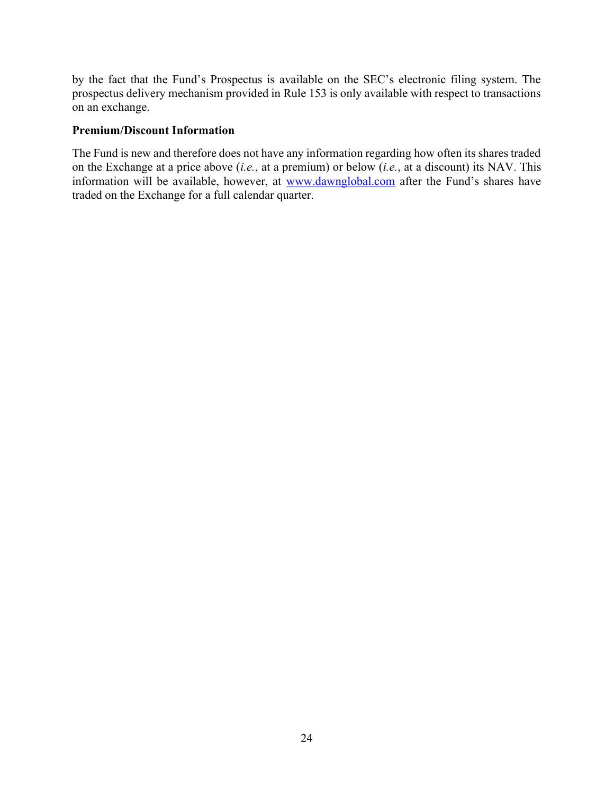by the fact that the Fund's Prospectus is available on the SEC's electronic filing system. The prospectus delivery mechanism provided in Rule 153 is only available with respect to transactions on an exchange.

#### Premium/Discount Information

The Fund is new and therefore does not have any information regarding how often its shares traded on the Exchange at a price above (*i.e.*, at a premium) or below (*i.e.*, at a discount) its NAV. This information will be available, however, at www.dawnglobal.com after the Fund's shares have traded on the Exchange for a full calendar quarter.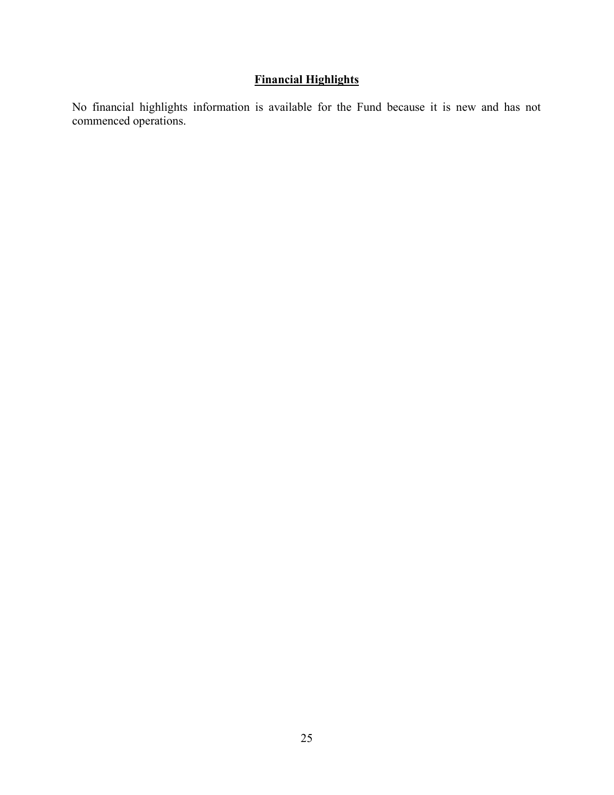# Financial Highlights

No financial highlights information is available for the Fund because it is new and has not commenced operations.